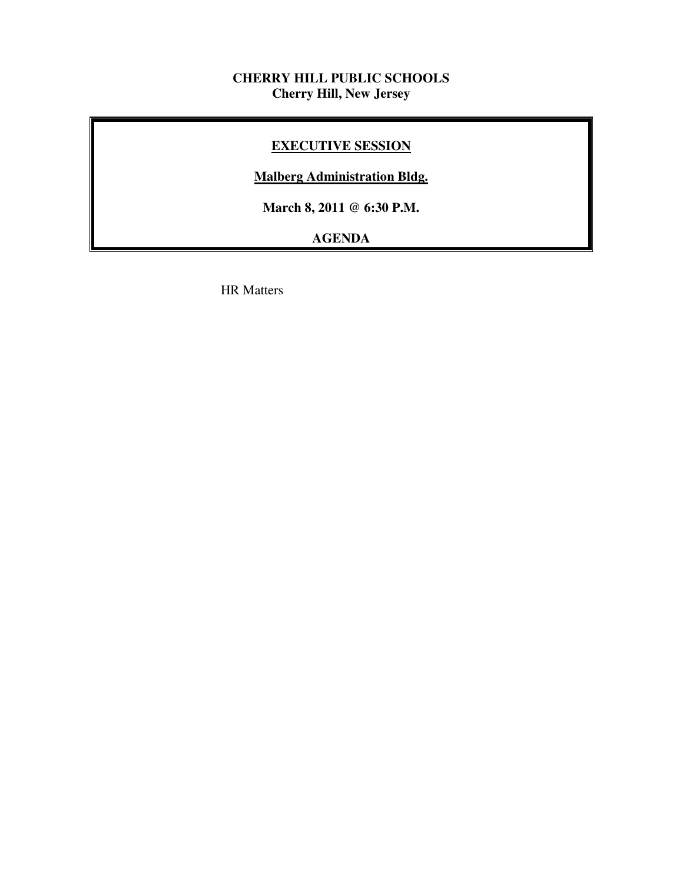# **CHERRY HILL PUBLIC SCHOOLS Cherry Hill, New Jersey**

# **EXECUTIVE SESSION**

# **Malberg Administration Bldg.**

 **March 8, 2011 @ 6:30 P.M.** 

# **AGENDA**

HR Matters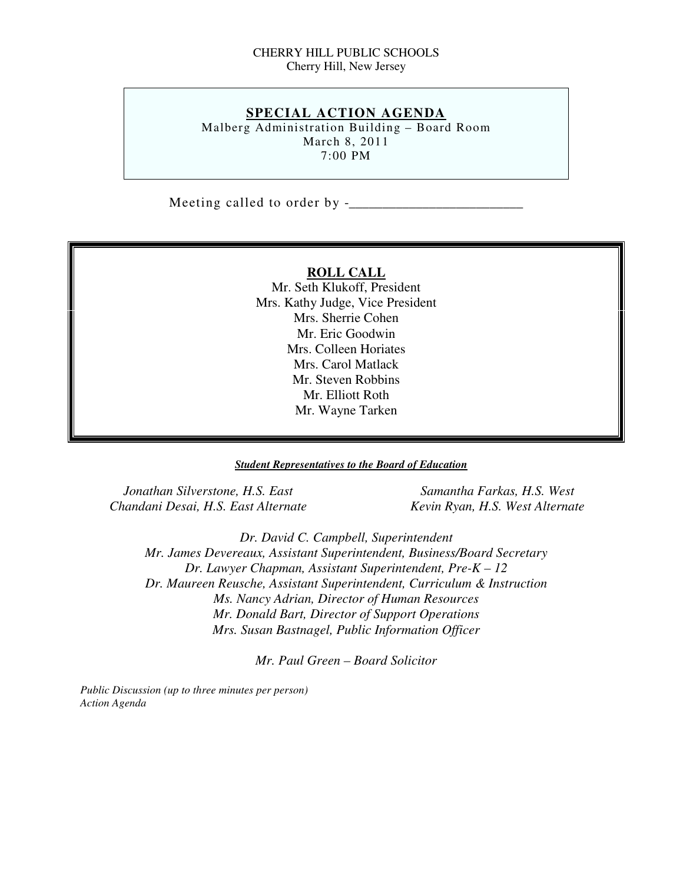#### CHERRY HILL PUBLIC SCHOOLS Cherry Hill, New Jersey

## **SPECIAL ACTION AGENDA**

 Malberg Administration Building – Board Room March 8, 2011 7:00 PM

Meeting called to order by  $-$ 

#### **ROLL CALL**

 Mr. Seth Klukoff, President Mrs. Kathy Judge, Vice President Mrs. Sherrie Cohen Mr. Eric Goodwin Mrs. Colleen Horiates Mrs. Carol Matlack Mr. Steven Robbins Mr. Elliott Roth Mr. Wayne Tarken

#### *Student Representatives to the Board of Education*

*Jonathan Silverstone, H.S. East* Samantha Farkas, H.S. West  *Chandani Desai, H.S. East Alternate Kevin Ryan, H.S. West Alternate* 

 *Dr. David C. Campbell, Superintendent Mr. James Devereaux, Assistant Superintendent, Business/Board Secretary Dr. Lawyer Chapman, Assistant Superintendent, Pre-K – 12 Dr. Maureen Reusche, Assistant Superintendent, Curriculum & Instruction Ms. Nancy Adrian, Director of Human Resources Mr. Donald Bart, Director of Support Operations Mrs. Susan Bastnagel, Public Information Officer* 

 *Mr. Paul Green – Board Solicitor* 

 *Public Discussion (up to three minutes per person) Action Agenda*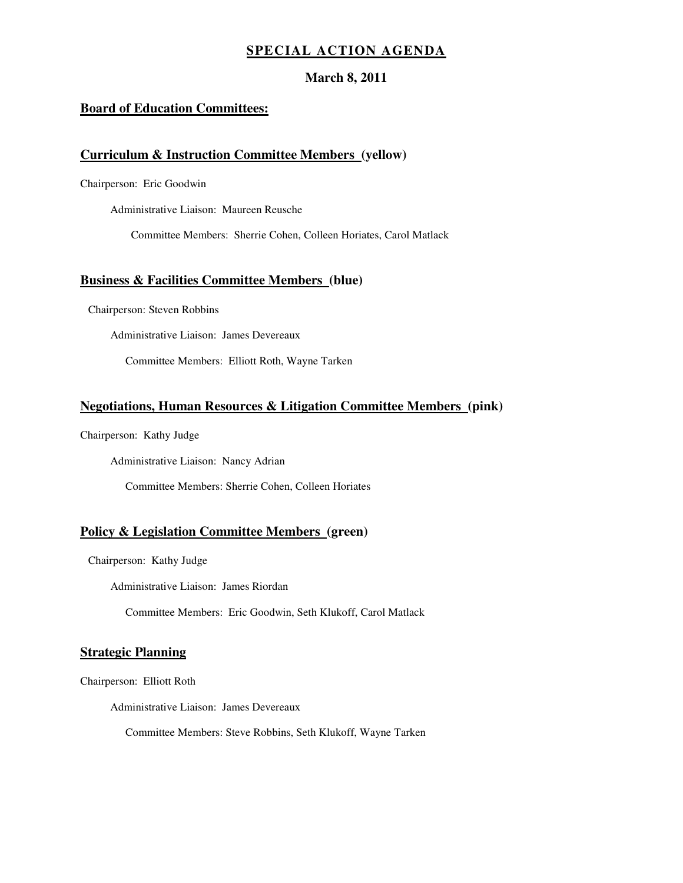### **SPECIAL ACTION AGENDA**

#### **March 8, 2011**

#### **Board of Education Committees:**

#### **Curriculum & Instruction Committee Members (yellow)**

Chairperson: Eric Goodwin

Administrative Liaison: Maureen Reusche

Committee Members: Sherrie Cohen, Colleen Horiates, Carol Matlack

#### **Business & Facilities Committee Members (blue)**

Chairperson: Steven Robbins

Administrative Liaison: James Devereaux

Committee Members: Elliott Roth, Wayne Tarken

#### **Negotiations, Human Resources & Litigation Committee Members (pink)**

Chairperson: Kathy Judge

Administrative Liaison: Nancy Adrian

Committee Members: Sherrie Cohen, Colleen Horiates

#### **Policy & Legislation Committee Members (green)**

Chairperson: Kathy Judge

Administrative Liaison: James Riordan

Committee Members: Eric Goodwin, Seth Klukoff, Carol Matlack

#### **Strategic Planning**

Chairperson: Elliott Roth

Administrative Liaison: James Devereaux

Committee Members: Steve Robbins, Seth Klukoff, Wayne Tarken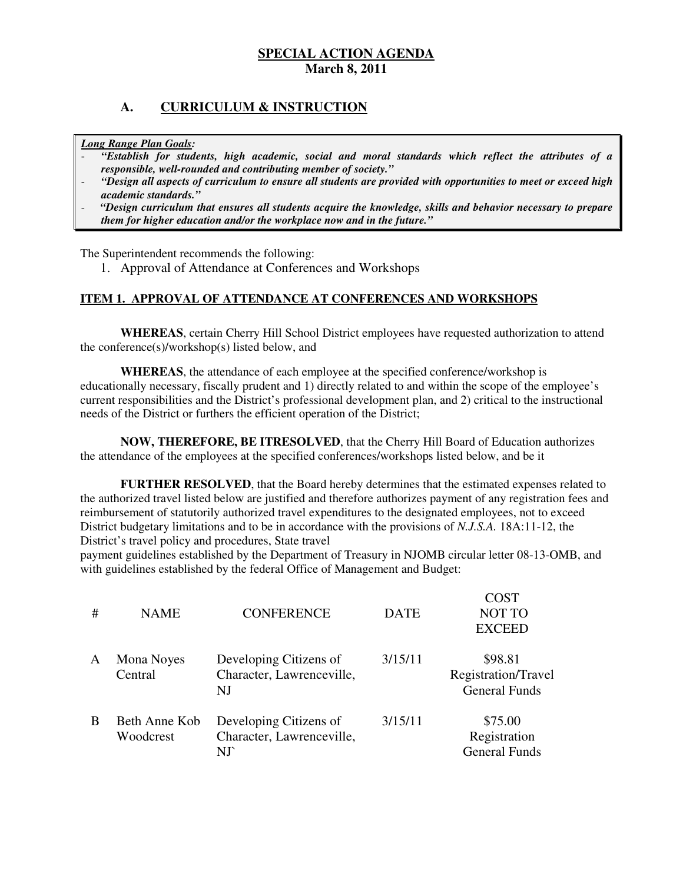# **A. CURRICULUM & INSTRUCTION**

 *Long Range Plan Goals:* 

- *"Establish for students, high academic, social and moral standards which reflect the attributes of a responsible, well-rounded and contributing member of society."*
- *"Design all aspects of curriculum to ensure all students are provided with opportunities to meet or exceed high academic standards."*
- *"Design curriculum that ensures all students acquire the knowledge, skills and behavior necessary to prepare them for higher education and/or the workplace now and in the future."*

The Superintendent recommends the following:

1. Approval of Attendance at Conferences and Workshops

#### **ITEM 1. APPROVAL OF ATTENDANCE AT CONFERENCES AND WORKSHOPS**

 **WHEREAS**, certain Cherry Hill School District employees have requested authorization to attend the conference(s)/workshop(s) listed below, and

 **WHEREAS**, the attendance of each employee at the specified conference/workshop is educationally necessary, fiscally prudent and 1) directly related to and within the scope of the employee's current responsibilities and the District's professional development plan, and 2) critical to the instructional needs of the District or furthers the efficient operation of the District:

 **NOW, THEREFORE, BE ITRESOLVED**, that the Cherry Hill Board of Education authorizes the attendance of the employees at the specified conferences/workshops listed below, and be it

 **FURTHER RESOLVED**, that the Board hereby determines that the estimated expenses related to the authorized travel listed below are justified and therefore authorizes payment of any registration fees and reimbursement of statutorily authorized travel expenditures to the designated employees, not to exceed District budgetary limitations and to be in accordance with the provisions of *N.J.S.A.* 18A:11-12, the District's travel policy and procedures, State travel

 payment guidelines established by the Department of Treasury in NJOMB circular letter 08-13-OMB, and with guidelines established by the federal Office of Management and Budget:

| #            | <b>NAME</b>                | <b>CONFERENCE</b>                                                     | <b>DATE</b> | COST<br><b>NOT TO</b><br><b>EXCEED</b>                 |
|--------------|----------------------------|-----------------------------------------------------------------------|-------------|--------------------------------------------------------|
| $\mathsf{A}$ | Mona Noyes<br>Central      | Developing Citizens of<br>Character, Lawrenceville,<br>N <sub>J</sub> | 3/15/11     | \$98.81<br>Registration/Travel<br><b>General Funds</b> |
| B            | Beth Anne Kob<br>Woodcrest | Developing Citizens of<br>Character, Lawrenceville,                   | 3/15/11     | \$75.00<br>Registration<br><b>General Funds</b>        |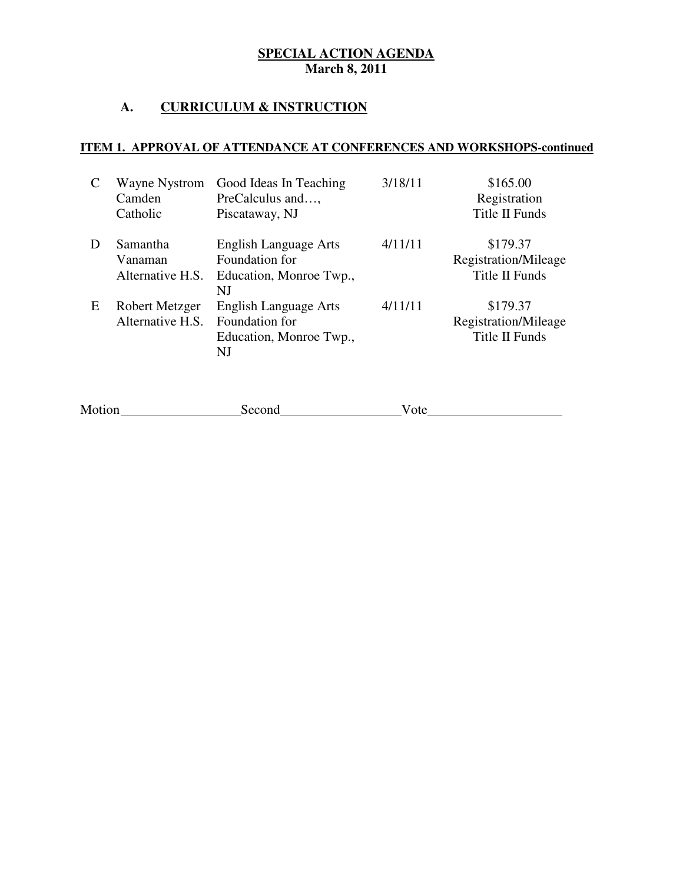# **A. CURRICULUM & INSTRUCTION**

# **ITEM 1. APPROVAL OF ATTENDANCE AT CONFERENCES AND WORKSHOPS-continued**

|   | Wayne Nystrom<br>Camden<br>Catholic     | Good Ideas In Teaching<br>PreCalculus and,<br>Piscataway, NJ                    | 3/18/11 | \$165.00<br>Registration<br>Title II Funds         |
|---|-----------------------------------------|---------------------------------------------------------------------------------|---------|----------------------------------------------------|
| D | Samantha<br>Vanaman<br>Alternative H.S. | <b>English Language Arts</b><br>Foundation for<br>Education, Monroe Twp.,<br>NJ | 4/11/11 | \$179.37<br>Registration/Mileage<br>Title II Funds |
| E | Robert Metzger<br>Alternative H.S.      | <b>English Language Arts</b><br>Foundation for<br>Education, Monroe Twp.,<br>NJ | 4/11/11 | \$179.37<br>Registration/Mileage<br>Title II Funds |

| Motion | Second | V ote |
|--------|--------|-------|
|        |        |       |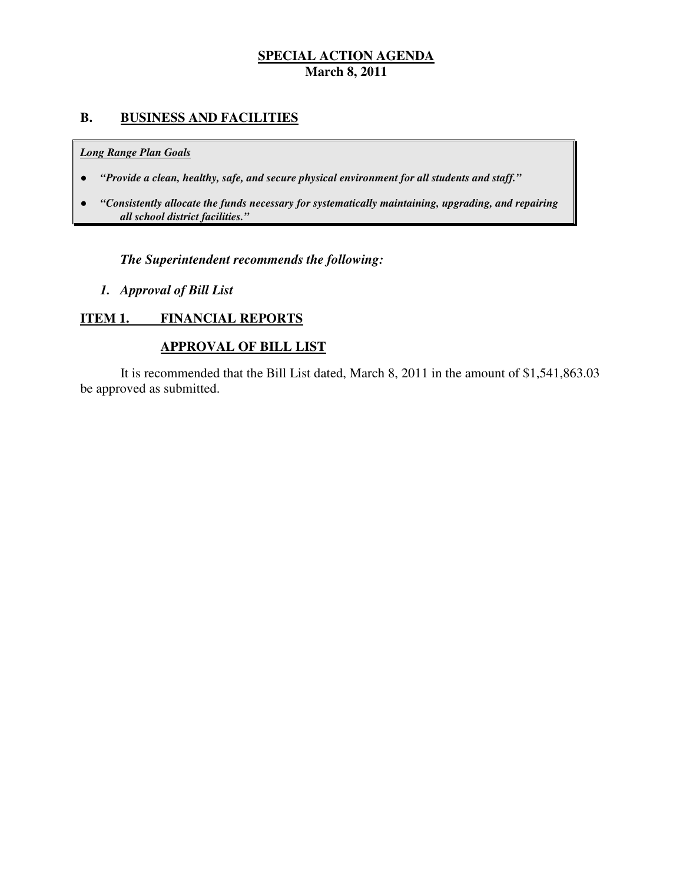# **B. BUSINESS AND FACILITIES**

#### *Long Range Plan Goals*

- *"Provide a clean, healthy, safe, and secure physical environment for all students and staff."*
- *all school district facilities."*  ● *"Consistently allocate the funds necessary for systematically maintaining, upgrading, and repairing*

# *The Superintendent recommends the following:*

 *1. Approval of Bill List* 

#### **ITEM 1. FINANCIAL REPORTS**

# **APPROVAL OF BILL LIST**

 be approved as submitted. It is recommended that the Bill List dated, March 8, 2011 in the amount of \$1,541,863.03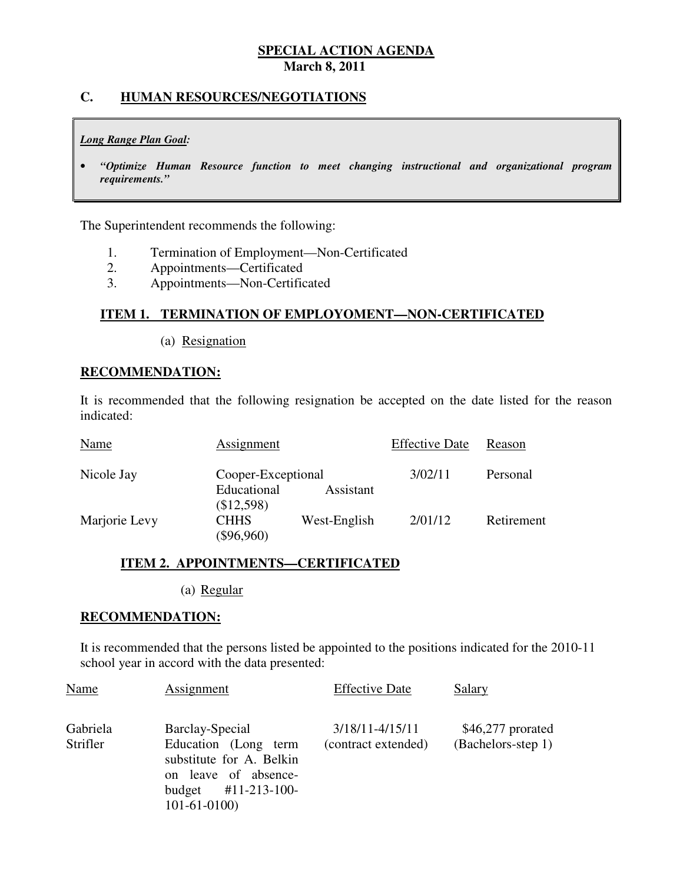## **C. HUMAN RESOURCES/NEGOTIATIONS**

#### *Long Range Plan Goal:*

 • *"Optimize Human Resource function to meet changing instructional and organizational program requirements."* 

The Superintendent recommends the following:

- 1. 1. Termination of Employment—Non-Certificated
- $2.$ 2. Appointments—Certificated
- $3<sub>1</sub>$ 3. Appointments—Non-Certificated

# **ITEM 1. TERMINATION OF EMPLOYOMENT—NON-CERTIFICATED**

(a) Resignation

#### **RECOMMENDATION:**

 It is recommended that the following resignation be accepted on the date listed for the reason indicated:

| Name          | <b>Assignment</b>           |              | <b>Effective Date</b> | Reason     |
|---------------|-----------------------------|--------------|-----------------------|------------|
| Nicole Jay    | Cooper-Exceptional          |              | 3/02/11               | Personal   |
|               | Educational<br>(\$12,598)   | Assistant    |                       |            |
| Marjorie Levy | <b>CHHS</b><br>$(\$96,960)$ | West-English | 2/01/12               | Retirement |

### **ITEM 2. APPOINTMENTS—CERTIFICATED**

(a) Regular

#### **RECOMMENDATION:**

 It is recommended that the persons listed be appointed to the positions indicated for the 2010-11 school year in accord with the data presented:

| Name                 | Assignment                                                                                                                             | <b>Effective Date</b>                  | Salary                                   |
|----------------------|----------------------------------------------------------------------------------------------------------------------------------------|----------------------------------------|------------------------------------------|
| Gabriela<br>Strifler | Barclay-Special<br>Education (Long term<br>substitute for A. Belkin<br>on leave of absence-<br>budget $\#11-213-100-$<br>$101-61-0100$ | 3/18/11-4/15/11<br>(contract extended) | $$46,277$ prorated<br>(Bachelors-step 1) |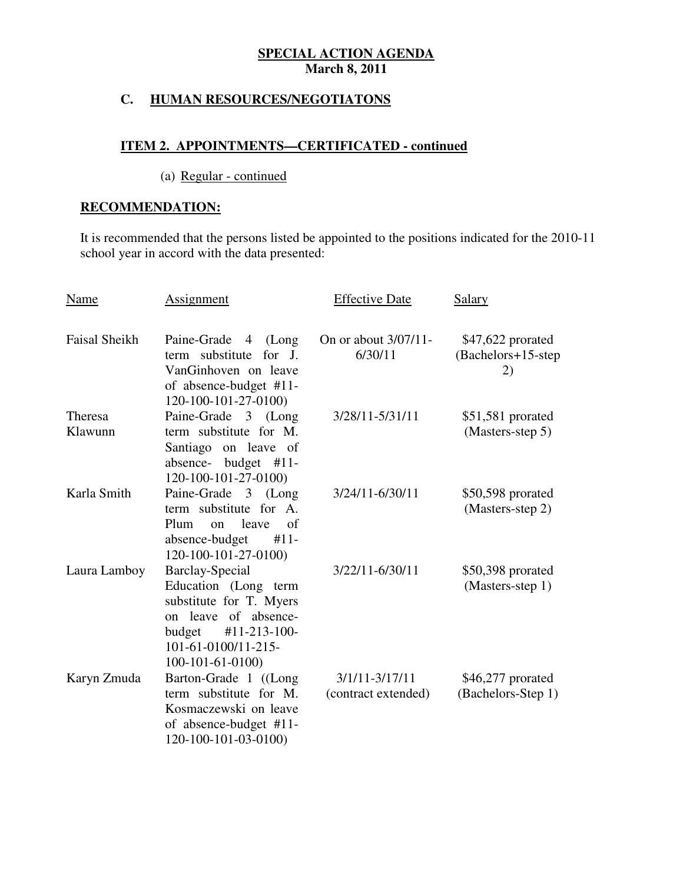# **C. HUMAN RESOURCES/NEGOTIATONS**

### **ITEM 2. APPOINTMENTS—CERTIFICATED - continued**

# (a) Regular - continued

# **RECOMMENDATION:**

 It is recommended that the persons listed be appointed to the positions indicated for the 2010-11 school year in accord with the data presented: Ĩ

| Name                      | Assignment                                                                                                                                                                                       | <b>Effective Date</b>                     | Salary                                         |
|---------------------------|--------------------------------------------------------------------------------------------------------------------------------------------------------------------------------------------------|-------------------------------------------|------------------------------------------------|
| <b>Faisal Sheikh</b>      | Paine-Grade 4<br>(Long<br>term substitute<br>for J.<br>VanGinhoven on leave                                                                                                                      | On or about 3/07/11-<br>6/30/11           | \$47,622 prorated<br>(Bachelors+15-step)<br>2) |
| <b>Theresa</b><br>Klawunn | of absence-budget #11-<br>120-100-101-27-0100)<br>Paine-Grade 3 (Long<br>term substitute for M.<br>Santiago on leave of                                                                          | 3/28/11-5/31/11                           | $$51,581$ prorated<br>(Masters-step 5)         |
| Karla Smith               | absence-<br>budget $#11$ -<br>120-100-101-27-0100)<br>Paine-Grade 3 (Long<br>term substitute for A.<br>leave<br>Plum<br>of<br>on                                                                 | 3/24/11-6/30/11                           | \$50,598 prorated<br>(Masters-step 2)          |
| Laura Lamboy              | absence-budget<br>$#11-$<br>120-100-101-27-0100)<br>Barclay-Special<br>Education (Long term<br>substitute for T. Myers<br>on leave of absence-                                                   | 3/22/11-6/30/11                           | \$50,398 prorated<br>(Masters-step 1)          |
| Karyn Zmuda               | #11-213-100-<br>budget<br>101-61-0100/11-215-<br>$100-101-61-0100$<br>Barton-Grade 1 ((Long<br>term substitute for M.<br>Kosmaczewski on leave<br>of absence-budget #11-<br>120-100-101-03-0100) | $3/1/11 - 3/17/11$<br>(contract extended) | $$46,277$ prorated<br>(Bachelors-Step 1)       |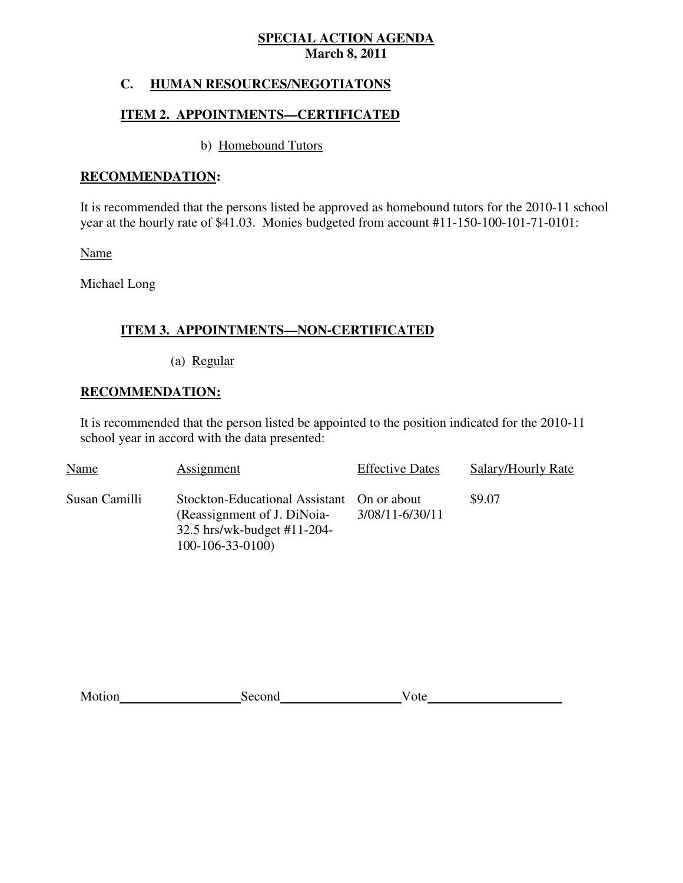#### **HUMAN RESOURCES/NEGOTIATONS**

# **ITEM 2. APPOINTMENTS—CERTIFICATED**

# b) Homebound Tutors

# **RECOMMENDATION:**

 It is recommended that the persons listed be approved as homebound tutors for the 2010-11 school year at the hourly rate of \$41.03. Monies budgeted from account #11-150-100-101-71-0101:

Name

Michael Long

# **ITEM 3. APPOINTMENTS—NON-CERTIFICATED**

(a) Regular

# **RECOMMENDATION:**

 It is recommended that the person listed be appointed to the position indicated for the 2010-11 school year in accord with the data presented:

| Name          | Assignment                                                                                                                    | <b>Effective Dates</b> | Salary/Hourly Rate |
|---------------|-------------------------------------------------------------------------------------------------------------------------------|------------------------|--------------------|
| Susan Camilli | Stockton-Educational Assistant On or about<br>(Reassignment of J. DiNoia-<br>32.5 hrs/wk-budget #11-204-<br>$100-106-33-0100$ | 3/08/11-6/30/11        | \$9.07             |

| Motion | Second | ote |
|--------|--------|-----|
|        |        |     |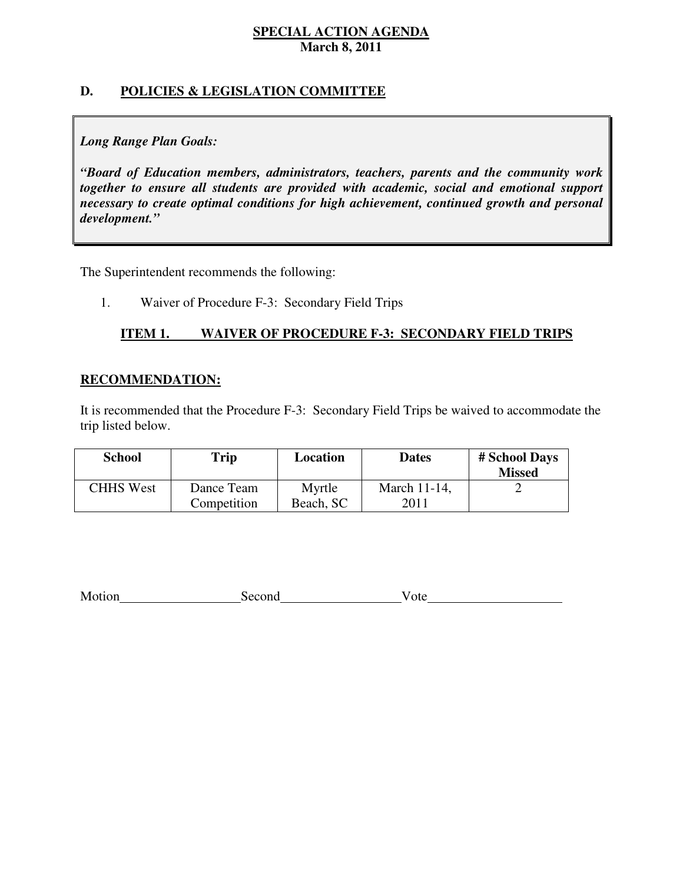# **D. POLICIES & LEGISLATION COMMITTEE**

# *Long Range Plan Goals:*

 *"Board of Education members, administrators, teachers, parents and the community work together to ensure all students are provided with academic, social and emotional support necessary to create optimal conditions for high achievement, continued growth and personal development."* 

The Superintendent recommends the following:

1. Waiver of Procedure F-3: Secondary Field Trips

#### **ITEM 1. ITEM 1. WAIVER OF PROCEDURE F-3: SECONDARY FIELD TRIPS**

#### **RECOMMENDATION:**

 It is recommended that the Procedure F-3: Secondary Field Trips be waived to accommodate the trip listed below.

| <b>School</b>    | Trip                      | Location            | <b>Dates</b>         | # School Days<br><b>Missed</b> |
|------------------|---------------------------|---------------------|----------------------|--------------------------------|
| <b>CHHS West</b> | Dance Team<br>Competition | Myrtle<br>Beach, SC | March 11-14,<br>2011 |                                |

|  | Motion | Second | ote |
|--|--------|--------|-----|
|--|--------|--------|-----|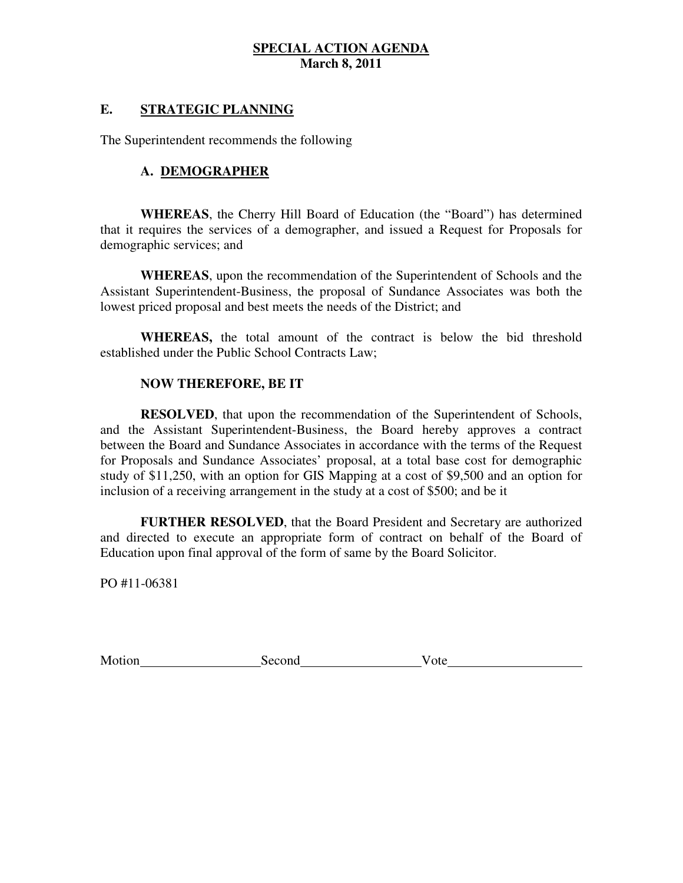# **E. STRATEGIC PLANNING**

The Superintendent recommends the following

# **A. DEMOGRAPHER**

 **WHEREAS**, the Cherry Hill Board of Education (the "Board") has determined that it requires the services of a demographer, and issued a Request for Proposals for demographic services; and

 **WHEREAS**, upon the recommendation of the Superintendent of Schools and the Assistant Superintendent-Business, the proposal of Sundance Associates was both the lowest priced proposal and best meets the needs of the District; and

 **WHEREAS,** the total amount of the contract is below the bid threshold established under the Public School Contracts Law;

# **NOW THEREFORE, BE IT**

 **RESOLVED**, that upon the recommendation of the Superintendent of Schools, and the Assistant Superintendent-Business, the Board hereby approves a contract between the Board and Sundance Associates in accordance with the terms of the Request for Proposals and Sundance Associates' proposal, at a total base cost for demographic study of \$11,250, with an option for GIS Mapping at a cost of \$9,500 and an option for inclusion of a receiving arrangement in the study at a cost of \$500; and be it

 **FURTHER RESOLVED**, that the Board President and Secretary are authorized and directed to execute an appropriate form of contract on behalf of the Board of Education upon final approval of the form of same by the Board Solicitor.

PO #11-06381

| Motion | Second | ote |
|--------|--------|-----|
|        |        |     |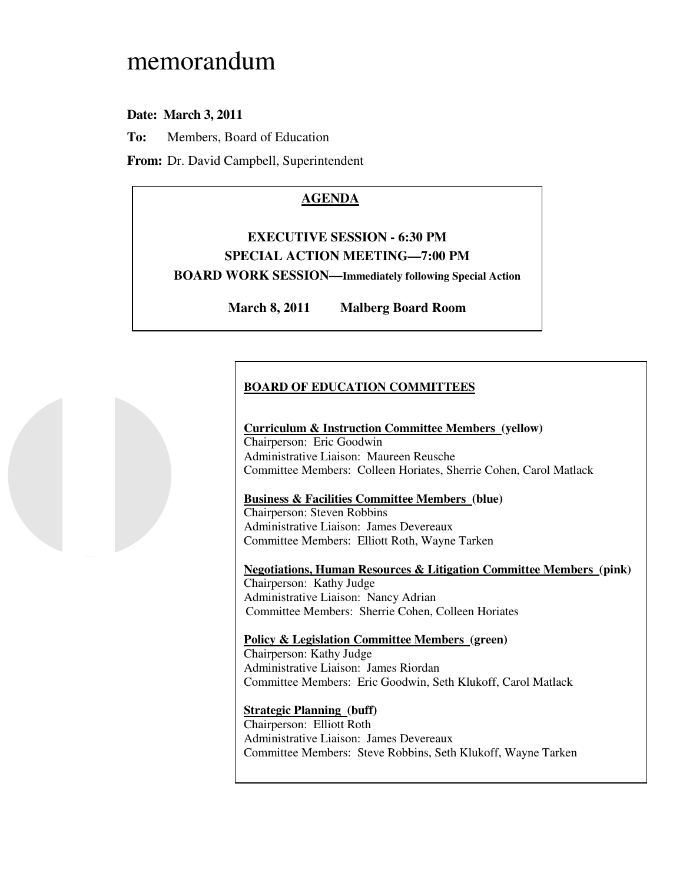# memorandum

# **Date: March 3, 2011**

**To:** Members, Board of Education

**From:** Dr. David Campbell, Superintendent

# **AGENDA**

# **EXECUTIVE SESSION - 6:30 PM SPECIAL ACTION MEETING—7:00 PM BOARD WORK SESSION—Immediately following Special Action**

**March 8, 2011 Malberg Board Room** 

# **BOARD OF EDUCATION COMMITTEES**

#### **Curriculum & Instruction Committee Members (yellow)**  Chairperson: Eric Goodwin Administrative Liaison: Maureen Reusche Committee Members: Colleen Horiates, Sherrie Cohen, Carol Matlack

## **Business & Facilities Committee Members (blue)**

 Chairperson: Steven Robbins Administrative Liaison: James Devereaux Committee Members: Elliott Roth, Wayne Tarken

 **Negotiations, Human Resources & Litigation Committee Members (pink)**  Chairperson: Kathy Judge Administrative Liaison: Nancy Adrian Committee Members: Sherrie Cohen, Colleen Horiates

# **Policy & Legislation Committee Members (green)**

 Chairperson: Kathy Judge Administrative Liaison: James Riordan Committee Members: Eric Goodwin, Seth Klukoff, Carol Matlack

### **Strategic Planning (buff)**

 Chairperson: Elliott Roth Administrative Liaison: James Devereaux Committee Members: Steve Robbins, Seth Klukoff, Wayne Tarken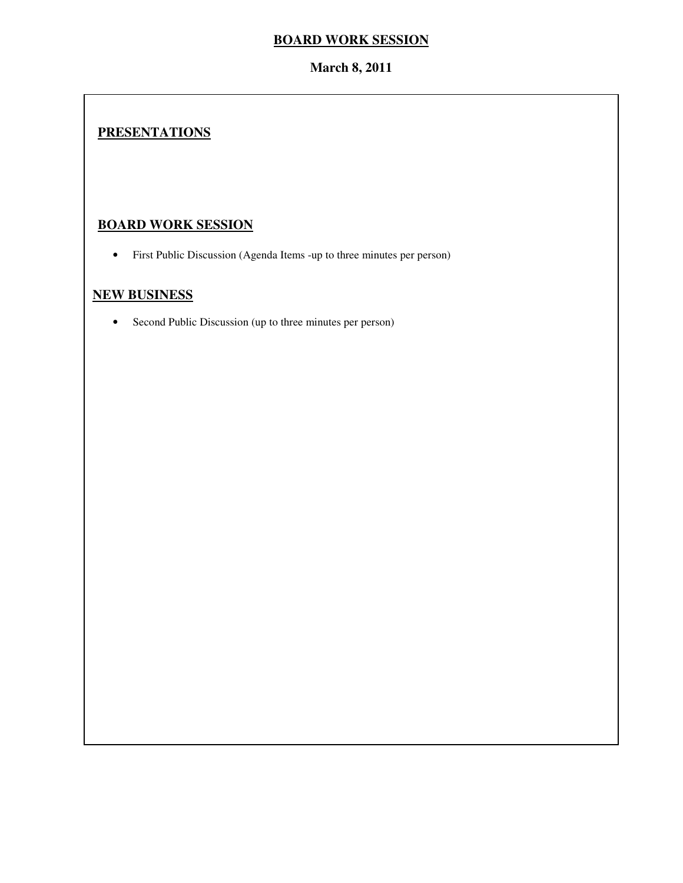# **BOARD WORK SESSION**

# **March 8, 2011**

# **PRESENTATIONS**

# **BOARD WORK SESSION**

• First Public Discussion (Agenda Items -up to three minutes per person)

# **NEW BUSINESS**

• Second Public Discussion (up to three minutes per person)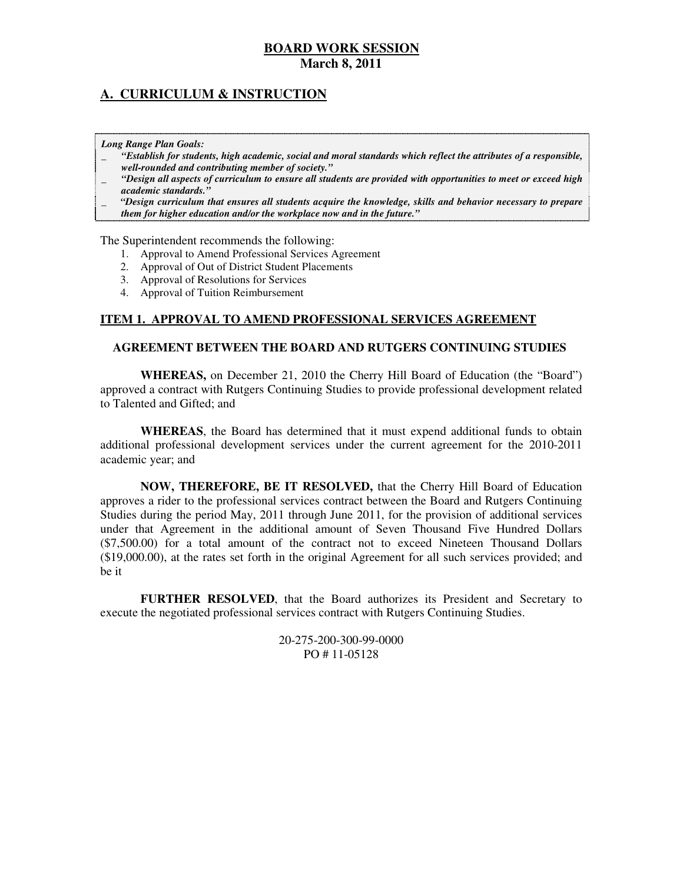# **A. CURRICULUM & INSTRUCTION**

#### *Long Range Plan Goals:*

- \_ *"Establish for students, high academic, social and moral standards which reflect the attributes of a responsible, well-rounded and contributing member of society."*
- \_ *"Design all aspects of curriculum to ensure all students are provided with opportunities to meet or exceed high academic standards."*
- \_ *"Design curriculum that ensures all students acquire the knowledge, skills and behavior necessary to prepare them for higher education and/or the workplace now and in the future."*

The Superintendent recommends the following:

- 1. Approval to Amend Professional Services Agreement
- 2. Approval of Out of District Student Placements
- 3. Approval of Resolutions for Services
- 4. Approval of Tuition Reimbursement

#### **ITEM 1. APPROVAL TO AMEND PROFESSIONAL SERVICES AGREEMENT**

#### **AGREEMENT BETWEEN THE BOARD AND RUTGERS CONTINUING STUDIES**

 **WHEREAS,** on December 21, 2010 the Cherry Hill Board of Education (the "Board") approved a contract with Rutgers Continuing Studies to provide professional development related to Talented and Gifted; and

 **WHEREAS**, the Board has determined that it must expend additional funds to obtain additional professional development services under the current agreement for the 2010-2011 academic year; and

 **NOW, THEREFORE, BE IT RESOLVED,** that the Cherry Hill Board of Education approves a rider to the professional services contract between the Board and Rutgers Continuing Studies during the period May, 2011 through June 2011, for the provision of additional services under that Agreement in the additional amount of Seven Thousand Five Hundred Dollars (\$7,500.00) for a total amount of the contract not to exceed Nineteen Thousand Dollars (\$19,000.00), at the rates set forth in the original Agreement for all such services provided; and be it

 **FURTHER RESOLVED**, that the Board authorizes its President and Secretary to execute the negotiated professional services contract with Rutgers Continuing Studies.

> PO # 11-05128 20-275-200-300-99-0000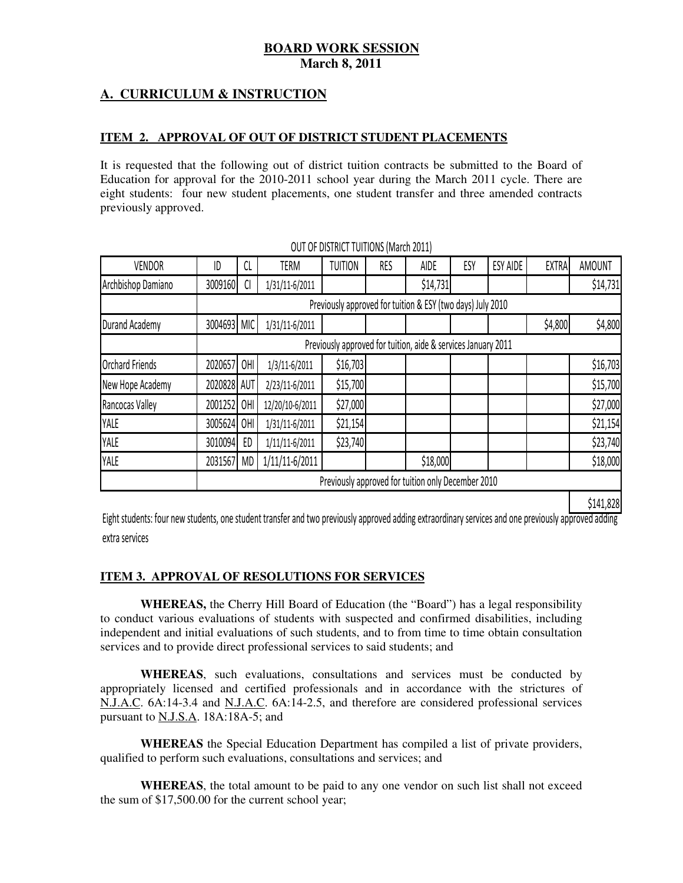# **A. CURRICULUM & INSTRUCTION**

#### **ITEM 2. APPROVAL OF OUT OF DISTRICT STUDENT PLACEMENTS**

 It is requested that the following out of district tuition contracts be submitted to the Board of Education for approval for the 2010-2011 school year during the March 2011 cycle. There are eight students: four new student placements, one student transfer and three amended contracts previously approved.

| <b>VENDOR</b>          | ID          | CL        | <b>TERM</b>     | <b>TUITION</b> | RES | <b>AIDE</b>                                                   | ESY | <b>ESY AIDE</b> | <b>EXTRA</b> | <b>AMOUNT</b> |
|------------------------|-------------|-----------|-----------------|----------------|-----|---------------------------------------------------------------|-----|-----------------|--------------|---------------|
| Archbishop Damiano     | 3009160     | C         | 1/31/11-6/2011  |                |     | \$14,731                                                      |     |                 |              | \$14,731      |
|                        |             |           |                 |                |     | Previously approved for tuition & ESY (two days) July 2010    |     |                 |              |               |
| Durand Academy         | 3004693 MIC |           | 1/31/11-6/2011  |                |     |                                                               |     |                 | \$4,800      | \$4,800       |
|                        |             |           |                 |                |     | Previously approved for tuition, aide & services January 2011 |     |                 |              |               |
| <b>Orchard Friends</b> | 2020657     | OHI       | 1/3/11-6/2011   | \$16,703       |     |                                                               |     |                 |              | \$16,703      |
| New Hope Academy       | 2020828 AUT |           | 2/23/11-6/2011  | \$15,700       |     |                                                               |     |                 |              | \$15,700      |
| Rancocas Valley        | 2001252     | OHI       | 12/20/10-6/2011 | \$27,000       |     |                                                               |     |                 |              | \$27,000      |
| YALE                   | 3005624     | 0HI       | 1/31/11-6/2011  | \$21,154       |     |                                                               |     |                 |              | \$21,154      |
| YALE                   | 3010094     | ED        | 1/11/11-6/2011  | \$23,740       |     |                                                               |     |                 |              | \$23,740      |
| YALE                   | 2031567     | <b>MD</b> | 1/11/11-6/2011  |                |     | \$18,000                                                      |     |                 |              | \$18,000      |
|                        |             |           |                 |                |     | Previously approved for tuition only December 2010            |     |                 |              |               |
|                        |             |           |                 |                |     |                                                               |     |                 |              | \$141,828     |

OUT OF DISTRICT TUITIONS (March 2011)

 Eight students: four new students, one student transfer and two previously approved adding extraordinary services and one previously approved adding extra services

#### **ITEM 3. APPROVAL OF RESOLUTIONS FOR SERVICES**

 **WHEREAS,** the Cherry Hill Board of Education (the "Board") has a legal responsibility to conduct various evaluations of students with suspected and confirmed disabilities, including independent and initial evaluations of such students, and to from time to time obtain consultation services and to provide direct professional services to said students; and

 **WHEREAS**, such evaluations, consultations and services must be conducted by appropriately licensed and certified professionals and in accordance with the strictures of  $N.J.A.C. 6A:14-3.4$  and N.J.A.C.  $6A:14-2.5$ , and therefore are considered professional services pursuant to N.J.S.A.  $18A:18A-5$ ; and

 **WHEREAS** the Special Education Department has compiled a list of private providers, qualified to perform such evaluations, consultations and services; and

 **WHEREAS**, the total amount to be paid to any one vendor on such list shall not exceed the sum of  $$17,500.00$  for the current school year;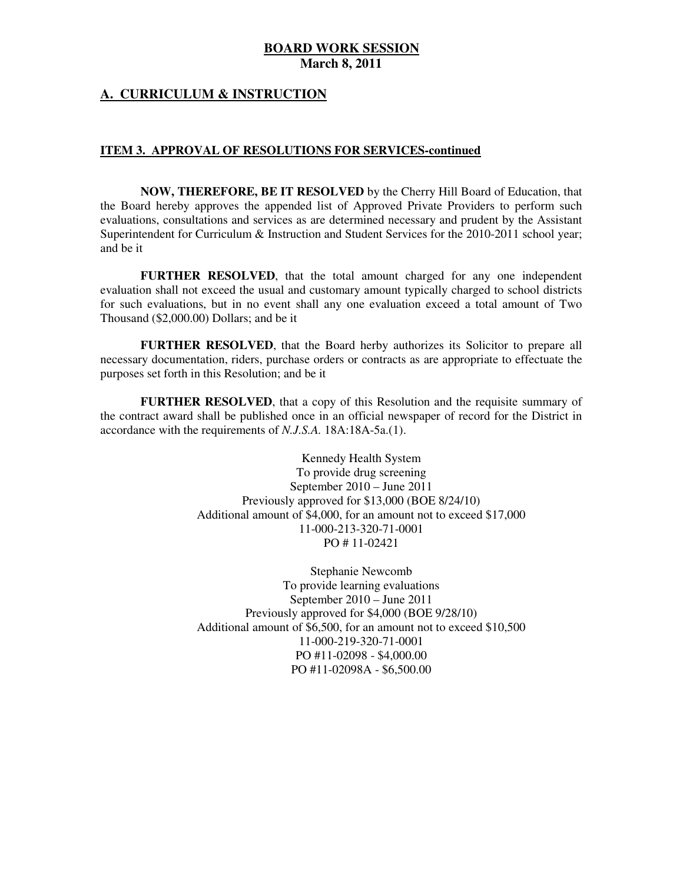#### **A. CURRICULUM & INSTRUCTION**

#### **ITEM 3. APPROVAL OF RESOLUTIONS FOR SERVICES-continued**

 **NOW, THEREFORE, BE IT RESOLVED** by the Cherry Hill Board of Education, that the Board hereby approves the appended list of Approved Private Providers to perform such evaluations, consultations and services as are determined necessary and prudent by the Assistant Superintendent for Curriculum & Instruction and Student Services for the 2010-2011 school year; and be it

 **FURTHER RESOLVED**, that the total amount charged for any one independent evaluation shall not exceed the usual and customary amount typically charged to school districts for such evaluations, but in no event shall any one evaluation exceed a total amount of Two Thousand (\$2,000.00) Dollars; and be it

 **FURTHER RESOLVED**, that the Board herby authorizes its Solicitor to prepare all necessary documentation, riders, purchase orders or contracts as are appropriate to effectuate the purposes set forth in this Resolution; and be it

 **FURTHER RESOLVED**, that a copy of this Resolution and the requisite summary of the contract award shall be published once in an official newspaper of record for the District in accordance with the requirements of *N.J.S.A.* 18A:18A-5a.(1).

> Kennedy Health System To provide drug screening September 2010 – June 2011 Previously approved for \$13,000 (BOE 8/24/10) Additional amount of \$4,000, for an amount not to exceed \$17,000 PO # 11-02421 11-000-213-320-71-0001

> Stephanie Newcomb To provide learning evaluations September 2010 – June 2011 Previously approved for \$4,000 (BOE 9/28/10) Additional amount of \$6,500, for an amount not to exceed \$10,500 PO #11-02098 - \$4,000.00 PO #11-02098A - \$6,500.00 11-000-219-320-71-0001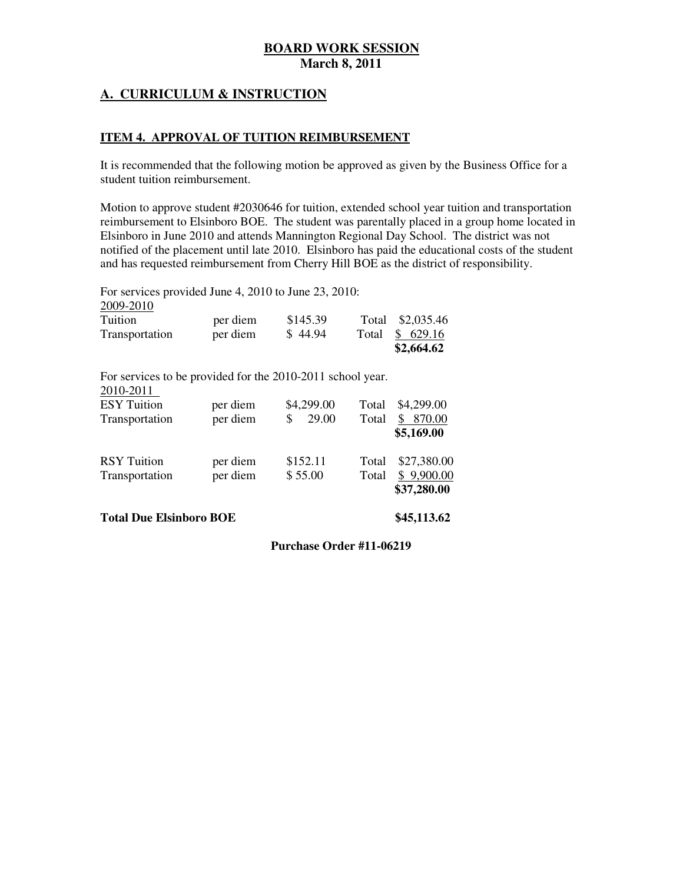# **A. CURRICULUM & INSTRUCTION**

#### **ITEM 4. APPROVAL OF TUITION REIMBURSEMENT**

 It is recommended that the following motion be approved as given by the Business Office for a student tuition reimbursement.

 Motion to approve student #2030646 for tuition, extended school year tuition and transportation reimbursement to Elsinboro BOE. The student was parentally placed in a group home located in Elsinboro in June 2010 and attends Mannington Regional Day School. The district was not notified of the placement until late 2010. Elsinboro has paid the educational costs of the student and has requested reimbursement from Cherry Hill BOE as the district of responsibility.

For services provided June 4, 2010 to June 23, 2010:

| 2009-2010      |          |          |       |                  |
|----------------|----------|----------|-------|------------------|
| Tuition        | per diem | \$145.39 |       | Total \$2,035.46 |
| Transportation | per diem | \$44.94  | Total | \$629.16         |
|                |          |          |       | \$2,664.62       |

For services to be provided for the 2010-2011 school year.

| 2010-2011<br><b>ESY</b> Tuition<br>Transportation | per diem<br>per diem | \$4,299.00<br>29.00 | Total<br>Total | \$4,299.00<br>870.00<br>\$5,169.00       |
|---------------------------------------------------|----------------------|---------------------|----------------|------------------------------------------|
| <b>RSY</b> Tuition<br>Transportation              | per diem<br>per diem | \$152.11<br>\$55.00 | Total<br>Total | \$27,380.00<br>\$9,900.00<br>\$37,280.00 |

 **Total Due Elsinboro BOE \$45,113.62** 

## **Purchase Order #11-06219**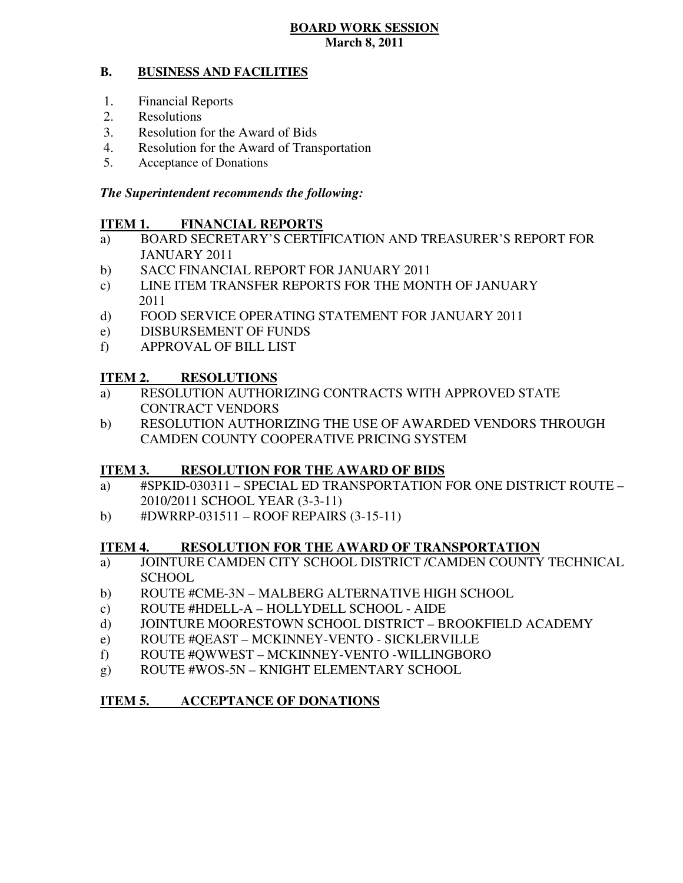#### **B. BUSINESS AND FACILITIES**

- 1. Financial Reports
- 2. Resolutions
- 3. Resolution for the Award of Bids
- 4. Resolution for the Award of Transportation
- 5. Acceptance of Donations

# *The Superintendent recommends the following:*

# **ITEM 1. FINANCIAL REPORTS**

- a) BOARD SECRETARY'S CERTIFICATION AND TREASURER'S REPORT FOR JANUARY 2011
- $b)$ SACC FINANCIAL REPORT FOR JANUARY 2011
- $\mathbf{c})$ LINE ITEM TRANSFER REPORTS FOR THE MONTH OF JANUARY 2011
- $\mathbf{d}$ FOOD SERVICE OPERATING STATEMENT FOR JANUARY 2011
- e) DISBURSEMENT OF FUNDS
- f) APPROVAL OF BILL LIST

#### **ITEM 2. RESOLUTIONS**

- a) RESOLUTION AUTHORIZING CONTRACTS WITH APPROVED STATE CONTRACT VENDORS
- b) RESOLUTION AUTHORIZING THE USE OF AWARDED VENDORS THROUGH CAMDEN COUNTY COOPERATIVE PRICING SYSTEM

# **ITEM 3. RESOLUTION FOR THE AWARD OF BIDS**

- a) #SPKID-030311 SPECIAL ED TRANSPORTATION FOR ONE DISTRICT ROUTE 2010/2011 SCHOOL YEAR (3-3-11)
- b)  $\#DWRRP-031511 ROOF REPRESENTS (3-15-11)$

#### **ITEM 4. RESOLUTION FOR THE AWARD OF TRANSPORTATION**

- a) JOINTURE CAMDEN CITY SCHOOL DISTRICT /CAMDEN COUNTY TECHNICAL **SCHOOL**
- b) ROUTE #CME-3N MALBERG ALTERNATIVE HIGH SCHOOL
- c) ROUTE #HDELL-A HOLLYDELL SCHOOL AIDE
- d) JOINTURE MOORESTOWN SCHOOL DISTRICT BROOKFIELD ACADEMY
- e) ROUTE #QEAST MCKINNEY-VENTO SICKLERVILLE
- f) ROUTE #QWWEST MCKINNEY-VENTO -WILLINGBORO
- g) ROUTE #WOS-5N KNIGHT ELEMENTARY SCHOOL

# **ITEM 5. ACCEPTANCE OF DONATIONS**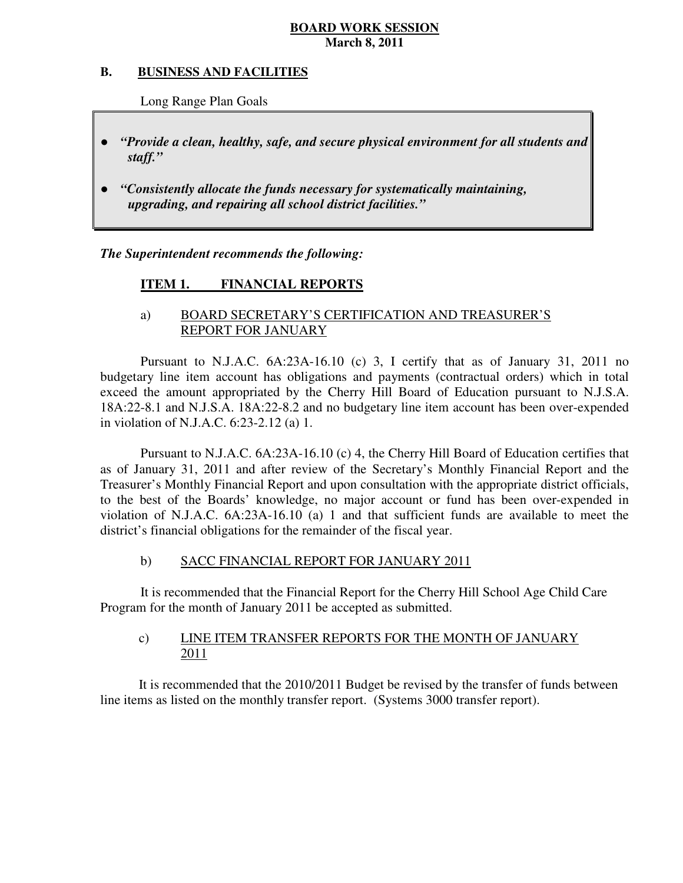#### **B. B. BUSINESS AND FACILITIES**

Long Range Plan Goals

- *"Provide a clean, healthy, safe, and secure physical environment for all students and staff."*
- *"Consistently allocate the funds necessary for systematically maintaining, upgrading, and repairing all school district facilities."*

 *The Superintendent recommends the following:* 

#### **ITEM 1. FINANCIAL REPORTS**

# a) BOARD SECRETARY'S CERTIFICATION AND TREASURER'S REPORT FOR JANUARY

 Pursuant to N.J.A.C. 6A:23A-16.10 (c) 3, I certify that as of January 31, 2011 no budgetary line item account has obligations and payments (contractual orders) which in total exceed the amount appropriated by the Cherry Hill Board of Education pursuant to N.J.S.A. 18A:22-8.1 and N.J.S.A. 18A:22-8.2 and no budgetary line item account has been over-expended in violation of N.J.A.C. 6:23-2.12 (a) 1.

 Pursuant to N.J.A.C. 6A:23A-16.10 (c) 4, the Cherry Hill Board of Education certifies that as of January 31, 2011 and after review of the Secretary's Monthly Financial Report and the Treasurer's Monthly Financial Report and upon consultation with the appropriate district officials, to the best of the Boards' knowledge, no major account or fund has been over-expended in violation of N.J.A.C.  $6A:23A-16.10$  (a) 1 and that sufficient funds are available to meet the district's financial obligations for the remainder of the fiscal year.

#### $b)$ b) SACC FINANCIAL REPORT FOR JANUARY 2011

 It is recommended that the Financial Report for the Cherry Hill School Age Child Care Program for the month of January 2011 be accepted as submitted.

#### $c)$ LINE ITEM TRANSFER REPORTS FOR THE MONTH OF JANUARY 2011

 It is recommended that the 2010/2011 Budget be revised by the transfer of funds between line items as listed on the monthly transfer report. (Systems 3000 transfer report).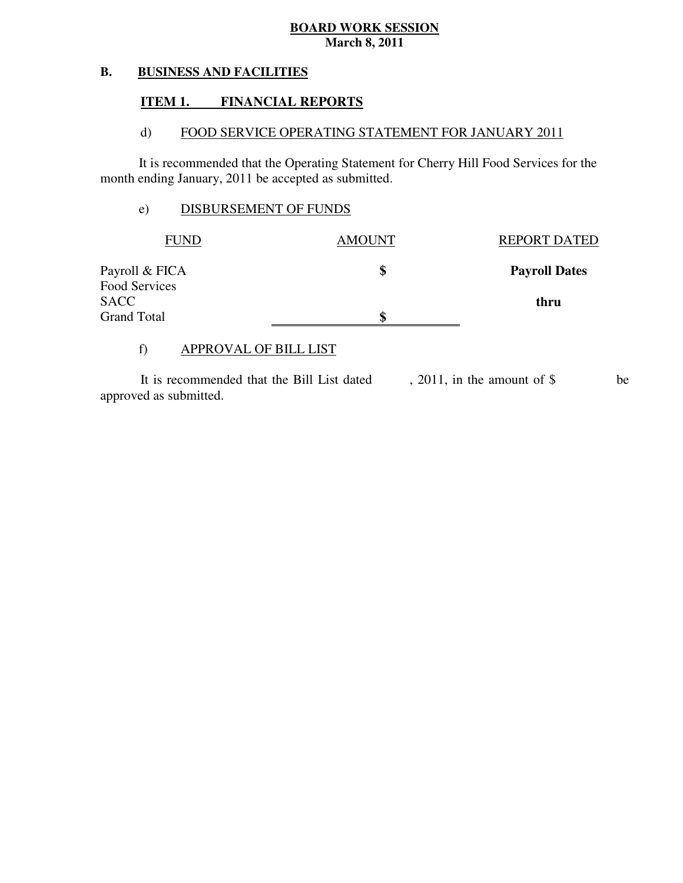#### **B. BUSINESS AND FACILITIES**

#### **ITEM 1. FINANCIAL REPORTS**

#### $\mathbf{d}$ FOOD SERVICE OPERATING STATEMENT FOR JANUARY 2011

 It is recommended that the Operating Statement for Cherry Hill Food Services for the month ending January, 2011 be accepted as submitted.

# e) DISBURSEMENT OF FUNDS

| <b>FUND</b>                  | <b>AMOUNT</b> | <b>REPORT DATED</b>  |
|------------------------------|---------------|----------------------|
| Payroll & FICA               | \$            | <b>Payroll Dates</b> |
| Food Services<br><b>SACC</b> |               | thru                 |
| <b>Grand Total</b>           | \$            |                      |

# f) APPROVAL OF BILL LIST

 approved as submitted. It is recommended that the Bill List dated , 2011, in the amount of \$ be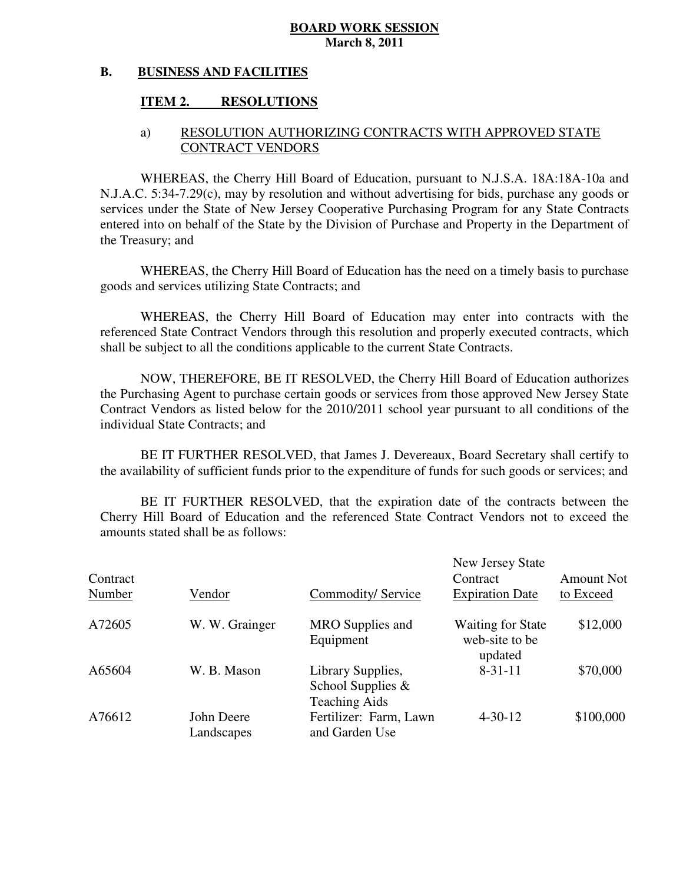#### **B. BUSINESS AND FACILITIES**

#### **ITEM 2. RESOLUTIONS**

# a) RESOLUTION AUTHORIZING CONTRACTS WITH APPROVED STATE CONTRACT VENDORS

 WHEREAS, the Cherry Hill Board of Education, pursuant to N.J.S.A. 18A:18A-10a and N.J.A.C. 5:34-7.29(c), may by resolution and without advertising for bids, purchase any goods or services under the State of New Jersey Cooperative Purchasing Program for any State Contracts entered into on behalf of the State by the Division of Purchase and Property in the Department of the Treasury; and

 WHEREAS, the Cherry Hill Board of Education has the need on a timely basis to purchase goods and services utilizing State Contracts; and

 WHEREAS, the Cherry Hill Board of Education may enter into contracts with the referenced State Contract Vendors through this resolution and properly executed contracts, which shall be subject to all the conditions applicable to the current State Contracts.

 NOW, THEREFORE, BE IT RESOLVED, the Cherry Hill Board of Education authorizes the Purchasing Agent to purchase certain goods or services from those approved New Jersey State Contract Vendors as listed below for the 2010/2011 school year pursuant to all conditions of the individual State Contracts; and

 the availability of sufficient funds prior to the expenditure of funds for such goods or services; and BE IT FURTHER RESOLVED, that James J. Devereaux, Board Secretary shall certify to

 Cherry Hill Board of Education and the referenced State Contract Vendors not to exceed the amounts stated shall be as follows: BE IT FURTHER RESOLVED, that the expiration date of the contracts between the

| Contract<br>Number | Vendor                   | Commodity/Service                                                 | New Jersey State<br>Contract<br><b>Expiration Date</b> | <b>Amount Not</b><br>to Exceed |
|--------------------|--------------------------|-------------------------------------------------------------------|--------------------------------------------------------|--------------------------------|
| A72605             | W. W. Grainger           | MRO Supplies and<br>Equipment                                     | <b>Waiting for State</b><br>web-site to be<br>updated  | \$12,000                       |
| A65604             | W. B. Mason              | Library Supplies,<br>School Supplies $\&$<br><b>Teaching Aids</b> | $8 - 31 - 11$                                          | \$70,000                       |
| A76612             | John Deere<br>Landscapes | Fertilizer: Farm, Lawn<br>and Garden Use                          | $4 - 30 - 12$                                          | \$100,000                      |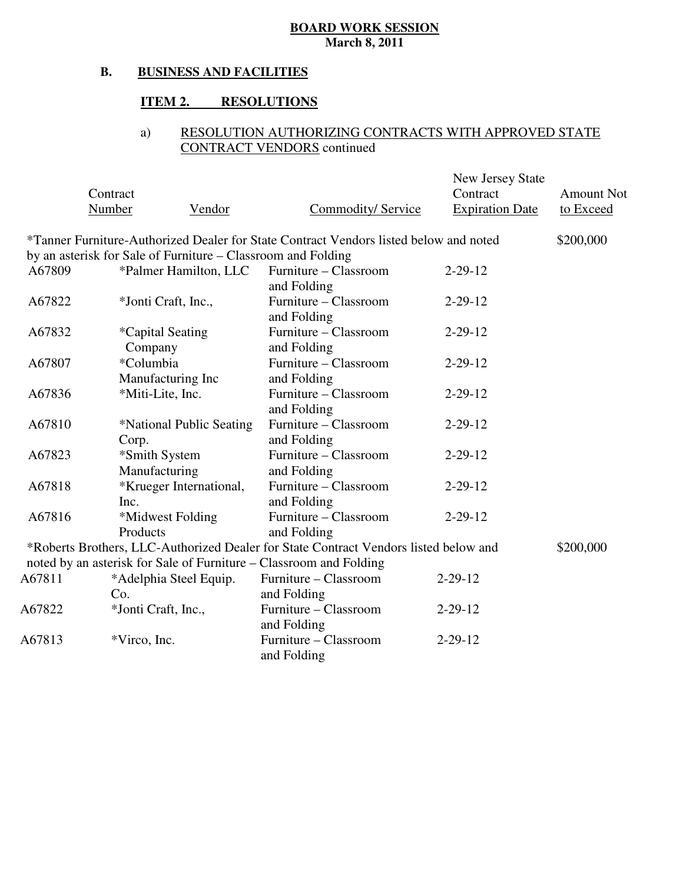#### **B. BUSINESS AND FACILITIES**

#### **ITEM 2. RESOLUTIONS**

# a) RESOLUTION AUTHORIZING CONTRACTS WITH APPROVED STATE CONTRACT VENDORS continued

|        |                                                                                       |                           | New Jersey State       |                   |
|--------|---------------------------------------------------------------------------------------|---------------------------|------------------------|-------------------|
|        | Contract                                                                              |                           | Contract               | <b>Amount Not</b> |
|        | <b>Number</b><br>Vendor                                                               | <b>Commodity/ Service</b> | <b>Expiration Date</b> | to Exceed         |
|        | *Tanner Furniture-Authorized Dealer for State Contract Vendors listed below and noted |                           |                        | \$200,000         |
|        | by an asterisk for Sale of Furniture – Classroom and Folding                          |                           |                        |                   |
| A67809 | *Palmer Hamilton, LLC                                                                 | Furniture – Classroom     | $2 - 29 - 12$          |                   |
|        |                                                                                       | and Folding               |                        |                   |
| A67822 | *Jonti Craft, Inc.,                                                                   | Furniture - Classroom     | $2 - 29 - 12$          |                   |
|        |                                                                                       | and Folding               |                        |                   |
| A67832 | <i>*</i> Capital Seating                                                              | Furniture - Classroom     | $2 - 29 - 12$          |                   |
|        | Company                                                                               | and Folding               |                        |                   |
| A67807 | *Columbia                                                                             | Furniture - Classroom     | $2 - 29 - 12$          |                   |
|        | Manufacturing Inc                                                                     | and Folding               |                        |                   |
| A67836 | *Miti-Lite, Inc.                                                                      | Furniture - Classroom     | $2 - 29 - 12$          |                   |
|        |                                                                                       | and Folding               |                        |                   |
| A67810 | *National Public Seating                                                              | Furniture - Classroom     | $2 - 29 - 12$          |                   |
|        | Corp.                                                                                 | and Folding               |                        |                   |
| A67823 | *Smith System                                                                         | Furniture - Classroom     | $2 - 29 - 12$          |                   |
|        | Manufacturing                                                                         | and Folding               |                        |                   |
| A67818 | *Krueger International,                                                               | Furniture - Classroom     | $2 - 29 - 12$          |                   |
|        | Inc.                                                                                  | and Folding               |                        |                   |
| A67816 | *Midwest Folding                                                                      | Furniture – Classroom     | $2 - 29 - 12$          |                   |
|        | Products                                                                              | and Folding               |                        |                   |
|        | *Roberts Brothers, LLC-Authorized Dealer for State Contract Vendors listed below and  |                           |                        | \$200,000         |
|        | noted by an asterisk for Sale of Furniture - Classroom and Folding                    |                           |                        |                   |
| A67811 | *Adelphia Steel Equip.                                                                | Furniture - Classroom     | $2 - 29 - 12$          |                   |
|        | Co.                                                                                   | and Folding               |                        |                   |
| A67822 | *Jonti Craft, Inc.,                                                                   | Furniture – Classroom     | $2 - 29 - 12$          |                   |
|        |                                                                                       | and Folding               |                        |                   |
| A67813 | *Virco, Inc.                                                                          | Furniture - Classroom     | $2 - 29 - 12$          |                   |
|        |                                                                                       | and Folding               |                        |                   |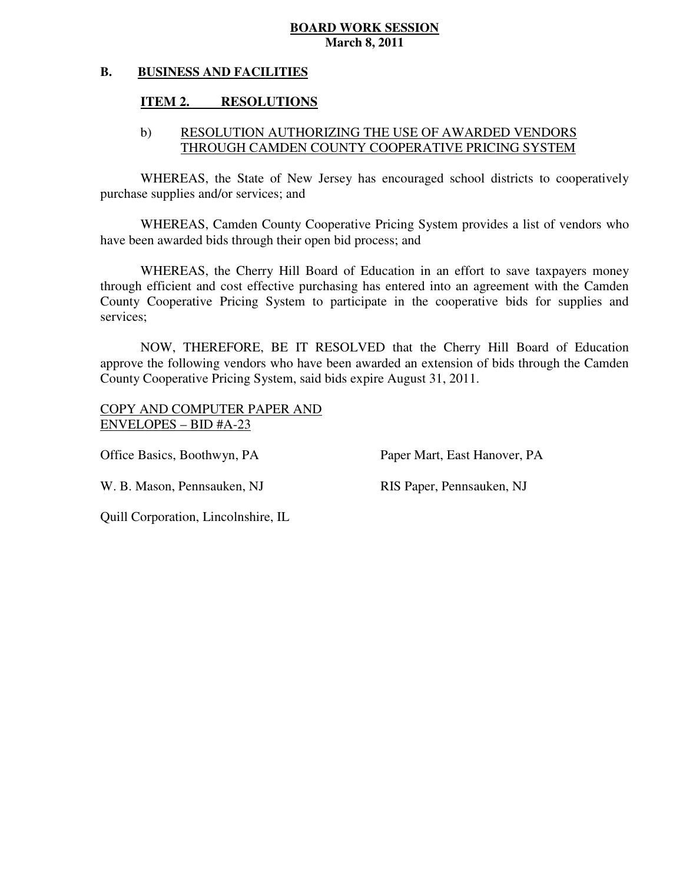#### **B. BUSINESS AND FACILITIES**

#### **ITEM 2. RESOLUTIONS**

# b) RESOLUTION AUTHORIZING THE USE OF AWARDED VENDORS THROUGH CAMDEN COUNTY COOPERATIVE PRICING SYSTEM

 WHEREAS, the State of New Jersey has encouraged school districts to cooperatively purchase supplies and/or services; and

 WHEREAS, Camden County Cooperative Pricing System provides a list of vendors who have been awarded bids through their open bid process; and

 WHEREAS, the Cherry Hill Board of Education in an effort to save taxpayers money through efficient and cost effective purchasing has entered into an agreement with the Camden County Cooperative Pricing System to participate in the cooperative bids for supplies and services;

 NOW, THEREFORE, BE IT RESOLVED that the Cherry Hill Board of Education approve the following vendors who have been awarded an extension of bids through the Camden County Cooperative Pricing System, said bids expire August 31, 2011.

 COPY AND COMPUTER PAPER AND ENVELOPES – BID #A-23

Office Basics, Boothwyn, PA

Paper Mart, East Hanover, PA

W. B. Mason, Pennsauken, NJ RIS Paper, Pennsauken, NJ

Quill Corporation, Lincolnshire, IL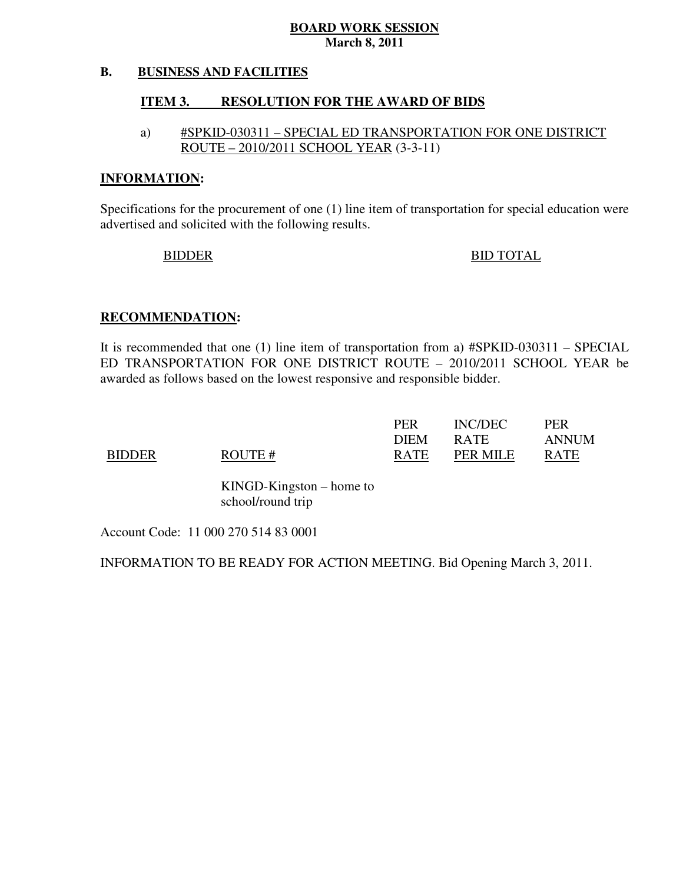#### **B. BUSINESS AND FACILITIES**

#### **ITEM 3. RESOLUTION FOR THE AWARD OF BIDS**

# a) #SPKID-030311 – SPECIAL ED TRANSPORTATION FOR ONE DISTRICT ROUTE – 2010/2011 SCHOOL YEAR (3-3-11)

#### **INFORMATION:**

 Specifications for the procurement of one (1) line item of transportation for special education were advertised and solicited with the following results.

# BIDDER BID TOTAL

## **RECOMMENDATION:**

 It is recommended that one (1) line item of transportation from a) #SPKID-030311 – SPECIAL ED TRANSPORTATION FOR ONE DISTRICT ROUTE – 2010/2011 SCHOOL YEAR be awarded as follows based on the lowest responsive and responsible bidder.

|               |        | <b>PER</b>  | INC/DEC     | PER         |
|---------------|--------|-------------|-------------|-------------|
|               |        | <b>DIEM</b> | <b>RATE</b> | ANNUM       |
| <b>BIDDER</b> | ROUTE# | <b>RATE</b> | PER MILE    | <b>RATE</b> |

 KINGD-Kingston – home to school/round trip

Account Code: 11 000 270 514 83 0001

INFORMATION TO BE READY FOR ACTION MEETING. Bid Opening March 3, 2011.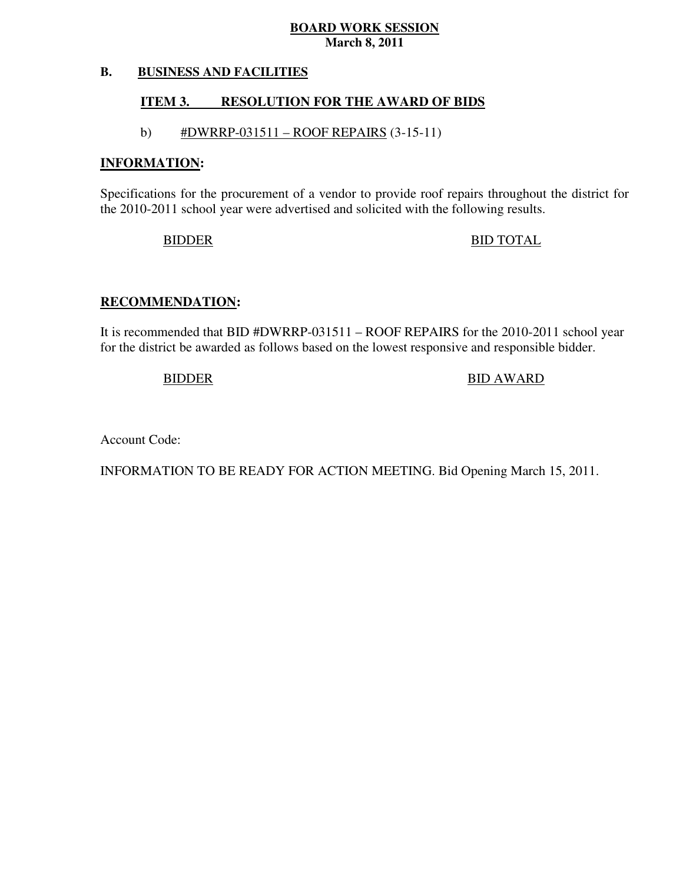#### **B. BUSINESS AND FACILITIES**

#### **ITEM 3. RESOLUTION FOR THE AWARD OF BIDS**

# b)  $\#DWRRP-031511 - ROOF REPRESENTS (3-15-11)$

#### **INFORMATION:**

 Specifications for the procurement of a vendor to provide roof repairs throughout the district for the 2010-2011 school year were advertised and solicited with the following results.

# BIDDER BID TOTAL

# **RECOMMENDATION:**

 It is recommended that BID #DWRRP-031511 – ROOF REPAIRS for the 2010-2011 school year for the district be awarded as follows based on the lowest responsive and responsible bidder.

# BIDDER
BIDDER
BIDDER
BIDDER
BIDDER
BIDDER
BIDDER
BIDDER
BIDDER
BIDDER
BIDDER
BIDDER
BIDDER
BIDDER
BIDDER
BIDDER
BIDDER
BIDDER
BIDDER
BIDDER
BIDDER

Account Code:

INFORMATION TO BE READY FOR ACTION MEETING. Bid Opening March 15, 2011.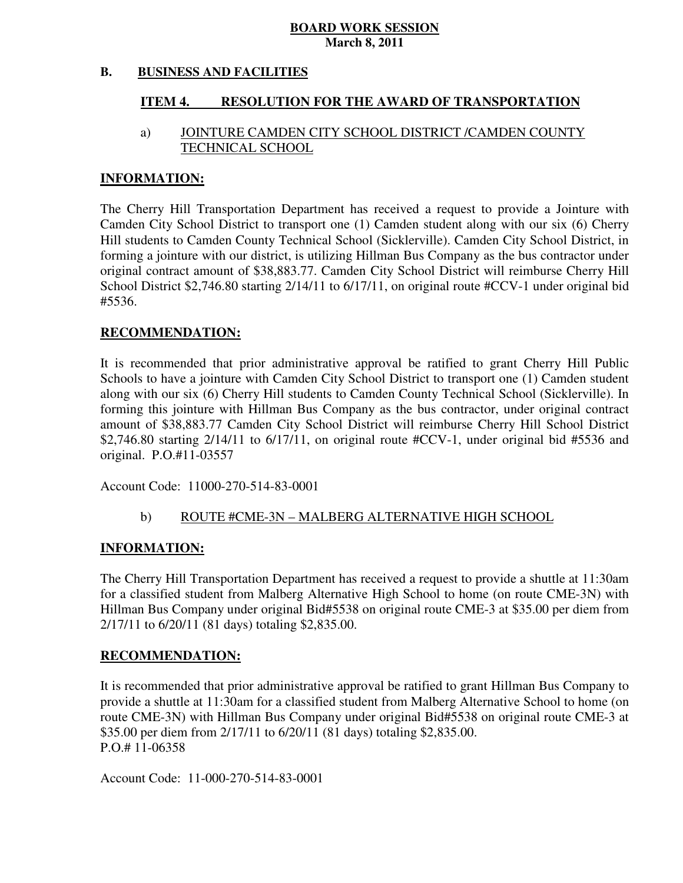#### **B. BUSINESS AND FACILITIES**

#### **ITEM 4. RESOLUTION FOR THE AWARD OF TRANSPORTATION**

# a) JOINTURE CAMDEN CITY SCHOOL DISTRICT /CAMDEN COUNTY TECHNICAL SCHOOL

#### **INFORMATION:**

 The Cherry Hill Transportation Department has received a request to provide a Jointure with Camden City School District to transport one (1) Camden student along with our six (6) Cherry Hill students to Camden County Technical School (Sicklerville). Camden City School District, in forming a jointure with our district, is utilizing Hillman Bus Company as the bus contractor under original contract amount of \$38,883.77. Camden City School District will reimburse Cherry Hill School District \$2,746.80 starting 2/14/11 to 6/17/11, on original route #CCV-1 under original bid #5536.

# **RECOMMENDATION:**

 It is recommended that prior administrative approval be ratified to grant Cherry Hill Public Schools to have a jointure with Camden City School District to transport one (1) Camden student along with our six (6) Cherry Hill students to Camden County Technical School (Sicklerville). In forming this jointure with Hillman Bus Company as the bus contractor, under original contract amount of \$38,883.77 Camden City School District will reimburse Cherry Hill School District \$2,746.80 starting  $2/14/11$  to 6/17/11, on original route #CCV-1, under original bid #5536 and original. P.O.#11-03557

Account Code: 11000-270-514-83-0001

## b) ROUTE #CME-3N – MALBERG ALTERNATIVE HIGH SCHOOL

## **INFORMATION:**

 The Cherry Hill Transportation Department has received a request to provide a shuttle at 11:30am for a classified student from Malberg Alternative High School to home (on route CME-3N) with Hillman Bus Company under original Bid#5538 on original route CME-3 at \$35.00 per diem from  $2/17/11$  to  $6/20/11$  (81 days) totaling \$2,835,00.

#### **RECOMMENDATION:**

 It is recommended that prior administrative approval be ratified to grant Hillman Bus Company to provide a shuttle at 11:30am for a classified student from Malberg Alternative School to home (on route CME-3N) with Hillman Bus Company under original Bid#5538 on original route CME-3 at \$35.00 per diem from 2/17/11 to 6/20/11 (81 days) totaling \$2,835.00. P.O.# 11-06358

Account Code: 11-000-270-514-83-0001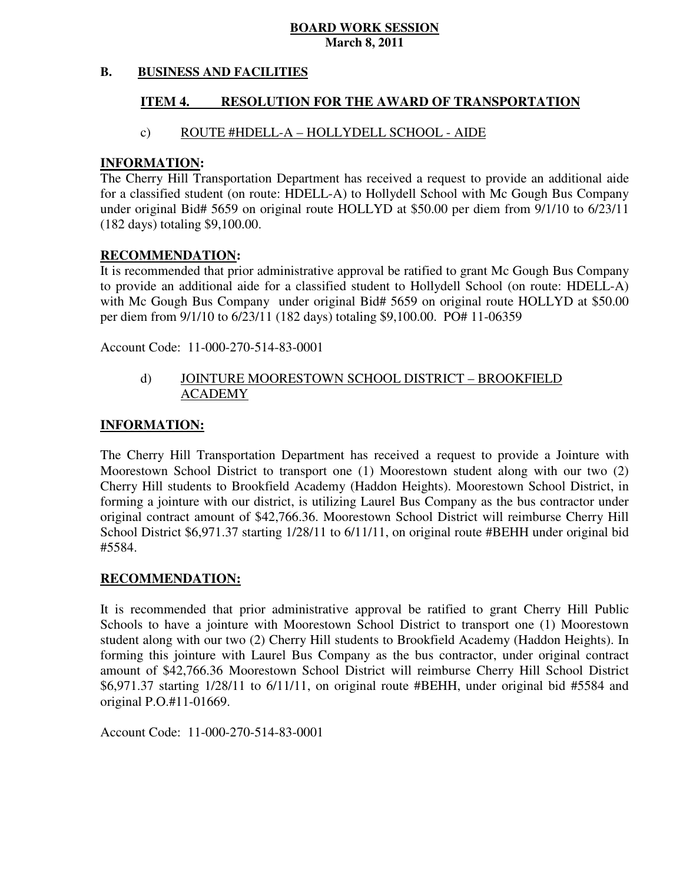#### **B. BUSINESS AND FACILITIES**

#### **ITEM 4. RESOLUTION FOR THE AWARD OF TRANSPORTATION**

## c) ROUTE #HDELL-A – HOLLYDELL SCHOOL - AIDE

#### **INFORMATION:**

 The Cherry Hill Transportation Department has received a request to provide an additional aide for a classified student (on route: HDELL-A) to Hollydell School with Mc Gough Bus Company under original Bid# 5659 on original route HOLLYD at \$50.00 per diem from 9/1/10 to 6/23/11 (182 days) totaling \$9,100.00.

#### **RECOMMENDATION:**

 It is recommended that prior administrative approval be ratified to grant Mc Gough Bus Company to provide an additional aide for a classified student to Hollydell School (on route: HDELL-A) with Mc Gough Bus Company under original Bid# 5659 on original route HOLLYD at \$50.00 per diem from 9/1/10 to 6/23/11 (182 days) totaling \$9,100.00. PO# 11-06359

Account Code: 11-000-270-514-83-0001

# d) JOINTURE MOORESTOWN SCHOOL DISTRICT – BROOKFIELD ACADEMY

#### **INFORMATION:**

 The Cherry Hill Transportation Department has received a request to provide a Jointure with Moorestown School District to transport one (1) Moorestown student along with our two (2) Cherry Hill students to Brookfield Academy (Haddon Heights). Moorestown School District, in forming a jointure with our district, is utilizing Laurel Bus Company as the bus contractor under original contract amount of \$42,766.36. Moorestown School District will reimburse Cherry Hill School District \$6,971.37 starting 1/28/11 to 6/11/11, on original route #BEHH under original bid #5584.

## **RECOMMENDATION:**

 It is recommended that prior administrative approval be ratified to grant Cherry Hill Public Schools to have a jointure with Moorestown School District to transport one (1) Moorestown student along with our two (2) Cherry Hill students to Brookfield Academy (Haddon Heights). In forming this jointure with Laurel Bus Company as the bus contractor, under original contract amount of \$42,766.36 Moorestown School District will reimburse Cherry Hill School District \$6,971.37 starting 1/28/11 to 6/11/11, on original route #BEHH, under original bid #5584 and original P.O.#11-01669.

Account Code: 11-000-270-514-83-0001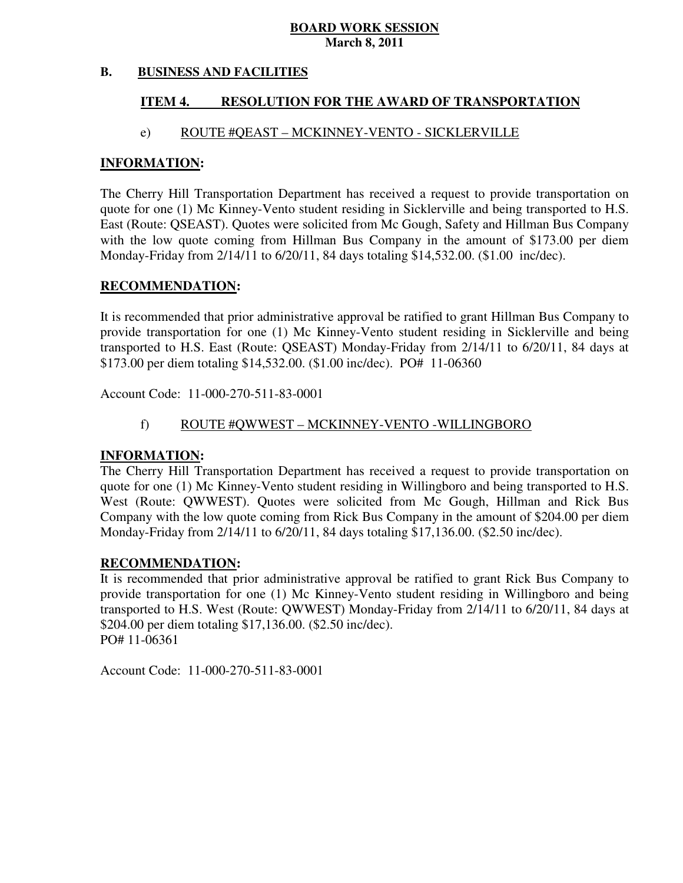#### **B. BUSINESS AND FACILITIES**

#### **ITEM 4. RESOLUTION FOR THE AWARD OF TRANSPORTATION**

### e) ROUTE #QEAST – MCKINNEY-VENTO - SICKLERVILLE

#### **INFORMATION:**

 The Cherry Hill Transportation Department has received a request to provide transportation on quote for one (1) Mc Kinney-Vento student residing in Sicklerville and being transported to H.S. East (Route: QSEAST). Quotes were solicited from Mc Gough, Safety and Hillman Bus Company with the low quote coming from Hillman Bus Company in the amount of \$173.00 per diem Monday-Friday from 2/14/11 to 6/20/11, 84 days totaling \$14,532.00. (\$1.00 inc/dec).

#### **RECOMMENDATION:**

 It is recommended that prior administrative approval be ratified to grant Hillman Bus Company to provide transportation for one (1) Mc Kinney-Vento student residing in Sicklerville and being transported to H.S. East (Route: QSEAST) Monday-Friday from 2/14/11 to 6/20/11, 84 days at \$173.00 per diem totaling \$14,532.00. (\$1.00 inc/dec). PO# 11-06360

Account Code: 11-000-270-511-83-0001

## f) ROUTE #QWWEST – MCKINNEY-VENTO -WILLINGBORO

#### **INFORMATION:**

 The Cherry Hill Transportation Department has received a request to provide transportation on quote for one (1) Mc Kinney-Vento student residing in Willingboro and being transported to H.S. West (Route: QWWEST). Quotes were solicited from Mc Gough, Hillman and Rick Bus Company with the low quote coming from Rick Bus Company in the amount of \$204.00 per diem Monday-Friday from 2/14/11 to 6/20/11, 84 days totaling \$17,136.00. (\$2.50 inc/dec).

#### **RECOMMENDATION:**

 It is recommended that prior administrative approval be ratified to grant Rick Bus Company to provide transportation for one (1) Mc Kinney-Vento student residing in Willingboro and being transported to H.S. West (Route: QWWEST) Monday-Friday from 2/14/11 to 6/20/11, 84 days at \$204.00 per diem totaling \$17,136.00. (\$2.50 inc/dec). PO# 11-06361

Account Code: 11-000-270-511-83-0001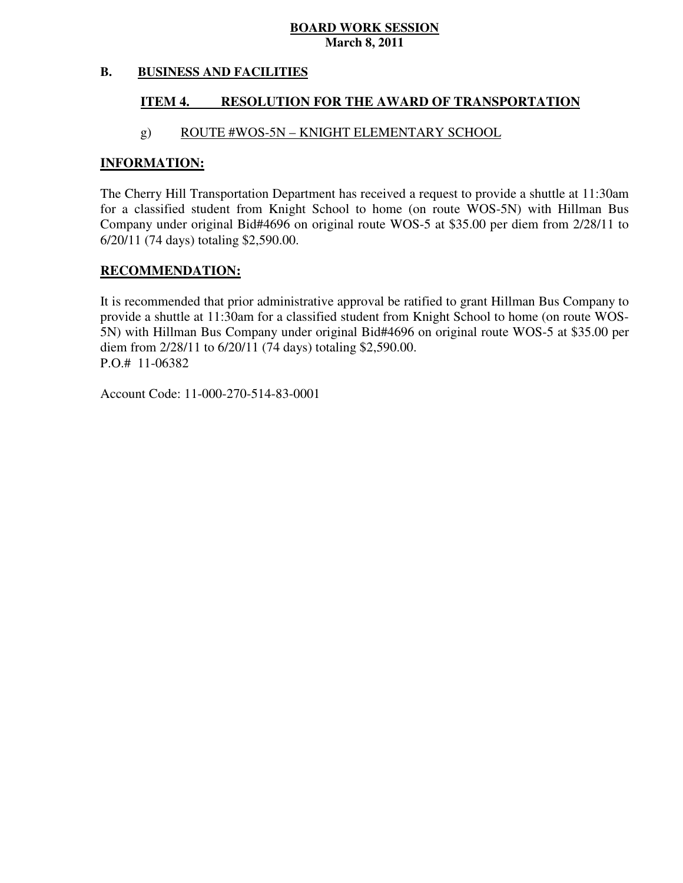#### **B. BUSINESS AND FACILITIES**

#### **ITEM 4. RESOLUTION FOR THE AWARD OF TRANSPORTATION**

## g) ROUTE #WOS-5N – KNIGHT ELEMENTARY SCHOOL

### **INFORMATION:**

 The Cherry Hill Transportation Department has received a request to provide a shuttle at 11:30am for a classified student from Knight School to home (on route WOS-5N) with Hillman Bus Company under original Bid#4696 on original route WOS-5 at \$35.00 per diem from 2/28/11 to 6/20/11 (74 days) totaling \$2,590.00.

## **RECOMMENDATION:**

 It is recommended that prior administrative approval be ratified to grant Hillman Bus Company to provide a shuttle at 11:30am for a classified student from Knight School to home (on route WOS- 5N) with Hillman Bus Company under original Bid#4696 on original route WOS-5 at \$35.00 per diem from  $2/28/11$  to  $6/20/11$  (74 days) totaling \$2,590.00. P.O.# 11-06382

Account Code: 11-000-270-514-83-0001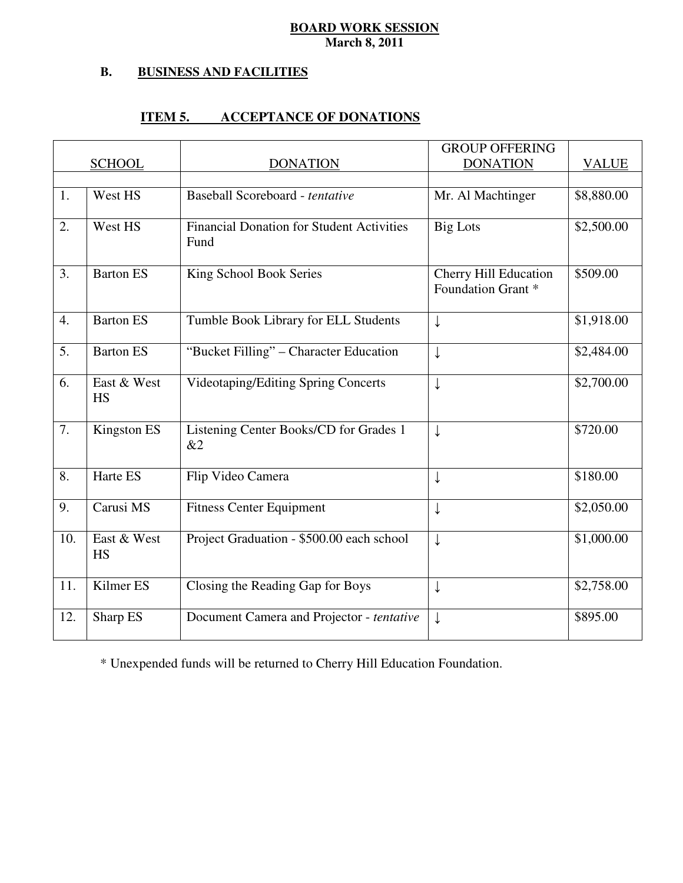#### **B. B. BUSINESS AND FACILITIES**

#### **ITEM 5. ITEM 5. ACCEPTANCE OF DONATIONS**

|                  |                          |                                                          | <b>GROUP OFFERING</b>                       |              |
|------------------|--------------------------|----------------------------------------------------------|---------------------------------------------|--------------|
|                  | <b>SCHOOL</b>            | <b>DONATION</b>                                          | <b>DONATION</b>                             | <b>VALUE</b> |
|                  |                          |                                                          |                                             |              |
| 1.               | West HS                  | Baseball Scoreboard - tentative                          | Mr. Al Machtinger                           | \$8,880.00   |
| 2.               | West HS                  | <b>Financial Donation for Student Activities</b><br>Fund | <b>Big Lots</b>                             | \$2,500.00   |
| 3.               | <b>Barton ES</b>         | King School Book Series                                  | Cherry Hill Education<br>Foundation Grant * | \$509.00     |
| $\overline{4}$ . | Barton ES                | Tumble Book Library for ELL Students                     | ↓                                           | \$1,918.00   |
| 5.               | <b>Barton ES</b>         | "Bucket Filling" - Character Education                   | $\downarrow$                                | \$2,484.00   |
| 6.               | East & West<br><b>HS</b> | Videotaping/Editing Spring Concerts                      | $\downarrow$                                | \$2,700.00   |
| 7.               | Kingston ES              | Listening Center Books/CD for Grades 1<br>&2             | $\downarrow$                                | \$720.00     |
| 8.               | Harte ES                 | Flip Video Camera                                        | ↓                                           | \$180.00     |
| 9.               | Carusi MS                | <b>Fitness Center Equipment</b>                          | $\downarrow$                                | \$2,050.00   |
| 10.              | East & West<br>HS        | Project Graduation - \$500.00 each school                | $\downarrow$                                | \$1,000.00   |
| 11.              | Kilmer ES                | Closing the Reading Gap for Boys                         | ↓                                           | \$2,758.00   |
| 12.              | Sharp ES                 | Document Camera and Projector - tentative                | $\downarrow$                                | \$895.00     |

\* Unexpended funds will be returned to Cherry Hill Education Foundation.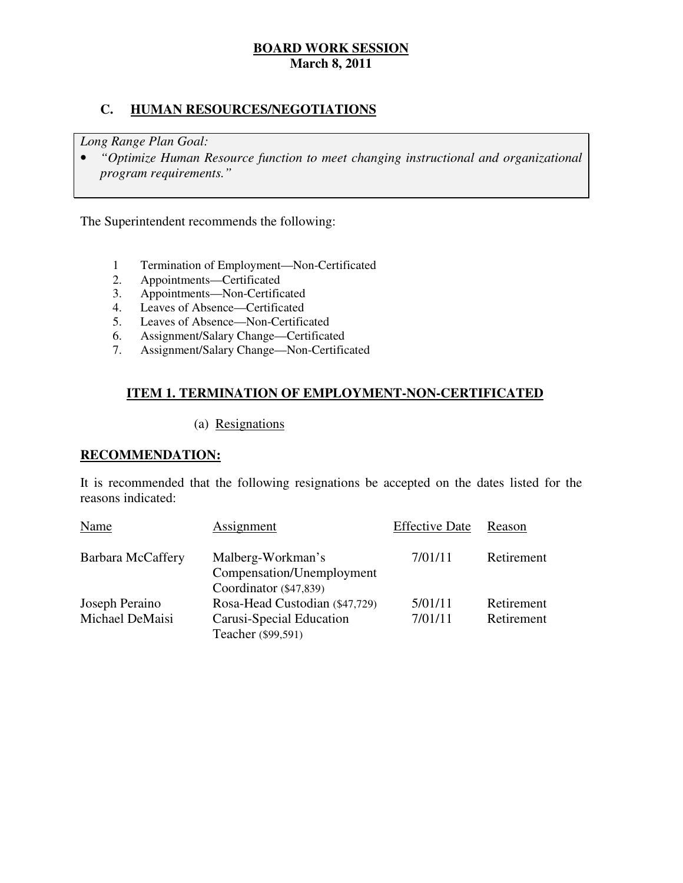# **C. HUMAN RESOURCES/NEGOTIATIONS**

 *Long Range Plan Goal:* 

**•** "Optimize Human Resource function to meet changing instructional and organizational *program requirements."* 

The Superintendent recommends the following:

- 1 Termination of Employment—Non-Certificated
- 2. Appointments—Certificated
- 3. Appointments—Non-Certificated
- 4. Leaves of Absence—Certificated
- 5. Leaves of Absence—Non-Certificated
- 6. Assignment/Salary Change—Certificated
- 7. Assignment/Salary Change—Non-Certificated

# **ITEM 1. TERMINATION OF EMPLOYMENT-NON-CERTIFICATED**

# (a) Resignations

## **RECOMMENDATION:**

 It is recommended that the following resignations be accepted on the dates listed for the reasons indicated:

| Name                     | Assignment                     | <b>Effective Date</b> | Reason     |
|--------------------------|--------------------------------|-----------------------|------------|
| <b>Barbara McCaffery</b> | Malberg-Workman's              | 7/01/11               | Retirement |
|                          | Compensation/Unemployment      |                       |            |
|                          | Coordinator (\$47,839)         |                       |            |
| Joseph Peraino           | Rosa-Head Custodian (\$47,729) | 5/01/11               | Retirement |
| Michael DeMaisi          | Carusi-Special Education       | 7/01/11               | Retirement |
|                          | Teacher (\$99,591)             |                       |            |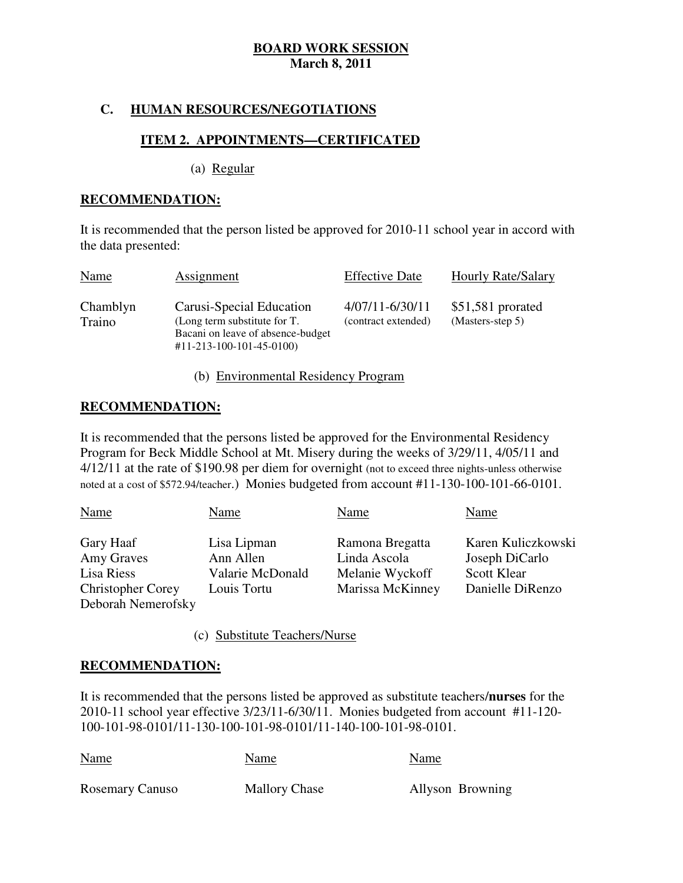# **C. HUMAN RESOURCES/NEGOTIATIONS**

# **ITEM 2. APPOINTMENTS—CERTIFICATED**

(a) Regular

### **RECOMMENDATION:**

 It is recommended that the person listed be approved for 2010-11 school year in accord with the data presented:

| Name               | Assignment                                                                                                                | <b>Effective Date</b>                      | <b>Hourly Rate/Salary</b>             |
|--------------------|---------------------------------------------------------------------------------------------------------------------------|--------------------------------------------|---------------------------------------|
| Chamblyn<br>Traino | Carusi-Special Education<br>(Long term substitute for T.<br>Bacani on leave of absence-budget<br>#11-213-100-101-45-0100) | $4/07/11 - 6/30/11$<br>(contract extended) | \$51,581 prorated<br>(Masters-step 5) |

# (b) Environmental Residency Program

## **RECOMMENDATION:**

 It is recommended that the persons listed be approved for the Environmental Residency Program for Beck Middle School at Mt. Misery during the weeks of 3/29/11, 4/05/11 and 4/12/11 at the rate of \$190.98 per diem for overnight (not to exceed three nights-unless otherwise noted at a cost of \$572.94/teacher.) Monies budgeted from account #11-130-100-101-66-0101.

| <b>Name</b>              | Name                     | Name                            | Name                                 |
|--------------------------|--------------------------|---------------------------------|--------------------------------------|
| Gary Haaf<br>Amy Graves  | Lisa Lipman<br>Ann Allen | Ramona Bregatta<br>Linda Ascola | Karen Kuliczkowski<br>Joseph DiCarlo |
| Lisa Riess               | Valarie McDonald         | Melanie Wyckoff                 | <b>Scott Klear</b>                   |
| <b>Christopher Corey</b> | Louis Tortu              | Marissa McKinney                | Danielle DiRenzo                     |
| Deborah Nemerofsky       |                          |                                 |                                      |

(c) Substitute Teachers/Nurse

## **RECOMMENDATION:**

 It is recommended that the persons listed be approved as substitute teachers/**nurses** for the 2010-11 school year effective 3/23/11-6/30/11. Monies budgeted from account #11-120 100-101-98-0101/11-130-100-101-98-0101/11-140-100-101-98-0101.

| <b>Name</b>            | Name                 | Name             |
|------------------------|----------------------|------------------|
| <b>Rosemary Canuso</b> | <b>Mallory Chase</b> | Allyson Browning |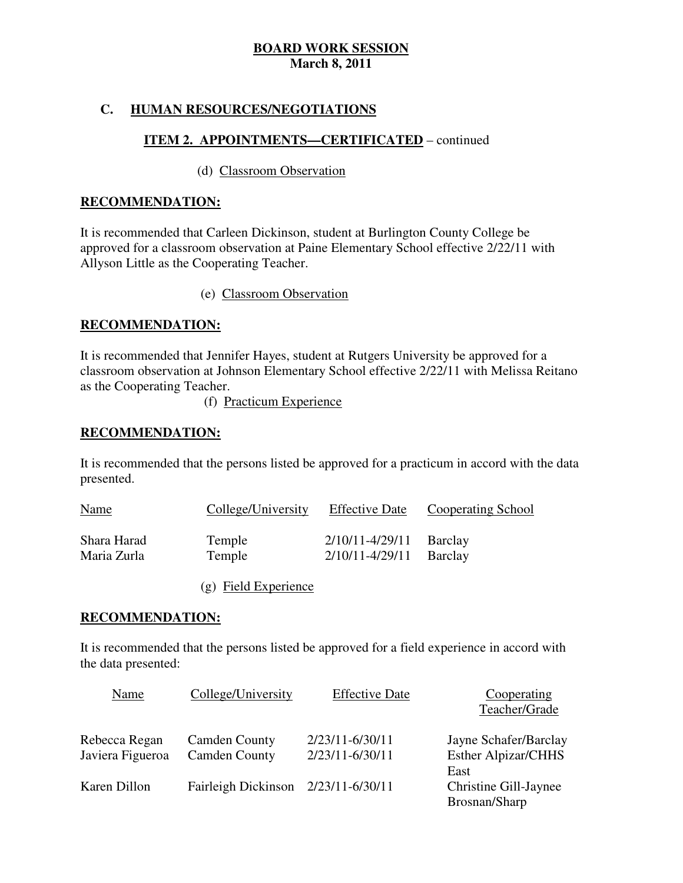# **C. HUMAN RESOURCES/NEGOTIATIONS**

# **ITEM 2. APPOINTMENTS—CERTIFICATED** – continued

### (d) Classroom Observation

### **RECOMMENDATION:**

 It is recommended that Carleen Dickinson, student at Burlington County College be approved for a classroom observation at Paine Elementary School effective 2/22/11 with Allyson Little as the Cooperating Teacher.

(e) Classroom Observation

## **RECOMMENDATION:**

 It is recommended that Jennifer Hayes, student at Rutgers University be approved for a classroom observation at Johnson Elementary School effective 2/22/11 with Melissa Reitano as the Cooperating Teacher.

(f) Practicum Experience

## **RECOMMENDATION:**

 It is recommended that the persons listed be approved for a practicum in accord with the data presented. presented.<br>
Name College/University Effective Date Cooperating School

| <b>Name</b> | College/University | <b>Effective Date</b>       | <b>Cooperating School</b> |
|-------------|--------------------|-----------------------------|---------------------------|
| Shara Harad | Temple             | 2/10/11-4/29/11             | Barclay                   |
| Maria Zurla | Temple             | $2/10/11 - 4/29/11$ Barclay |                           |

(g) Field Experience

## **RECOMMENDATION:**

 It is recommended that the persons listed be approved for a field experience in accord with the data presented:

| Name             | College/University   | <b>Effective Date</b> | Cooperating                |
|------------------|----------------------|-----------------------|----------------------------|
|                  |                      |                       | Teacher/Grade              |
| Rebecca Regan    | <b>Camden County</b> | 2/23/11-6/30/11       | Jayne Schafer/Barclay      |
| Javiera Figueroa | <b>Camden County</b> | 2/23/11-6/30/11       | <b>Esther Alpizar/CHHS</b> |
|                  |                      |                       | East                       |
| Karen Dillon     | Fairleigh Dickinson  | 2/23/11-6/30/11       | Christine Gill-Jaynee      |
|                  |                      |                       | Brosnan/Sharp              |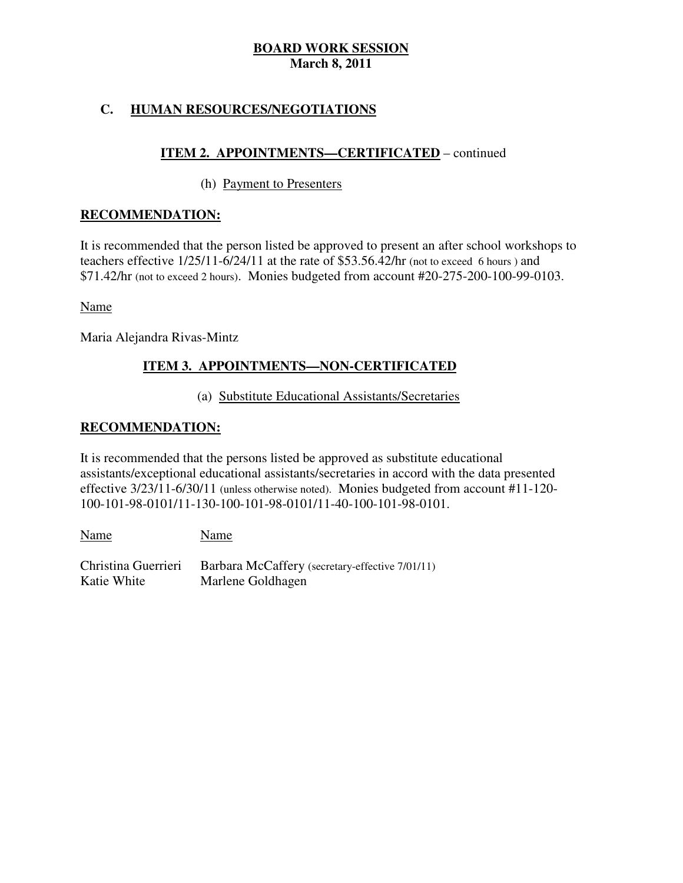# **C. HUMAN RESOURCES/NEGOTIATIONS**

# **ITEM 2. APPOINTMENTS—CERTIFICATED** – continued

# (h) Payment to Presenters

## **RECOMMENDATION:**

 It is recommended that the person listed be approved to present an after school workshops to teachers effective  $1/25/11-6/24/11$  at the rate of \$53.56.42/hr (not to exceed 6 hours) and \$71.42/hr (not to exceed 2 hours). Monies budgeted from account #20-275-200-100-99-0103.

Name

Maria Alejandra Rivas-Mintz

#### ٦ **ITEM 3. APPOINTMENTS-NON-CERTIFICATED**

## (a) Substitute Educational Assistants/Secretaries

# **RECOMMENDATION:**

 It is recommended that the persons listed be approved as substitute educational assistants/exceptional educational assistants/secretaries in accord with the data presented effective  $3/23/11$ -6/30/11 (unless otherwise noted). Monies budgeted from account #11-120-100-101-98-0101/11-130-100-101-98-0101/11-40-100-101-98-0101.

Christina Guerrieri Katie White Name Name Barbara McCaffery (secretary-effective 7/01/11) Marlene Goldhagen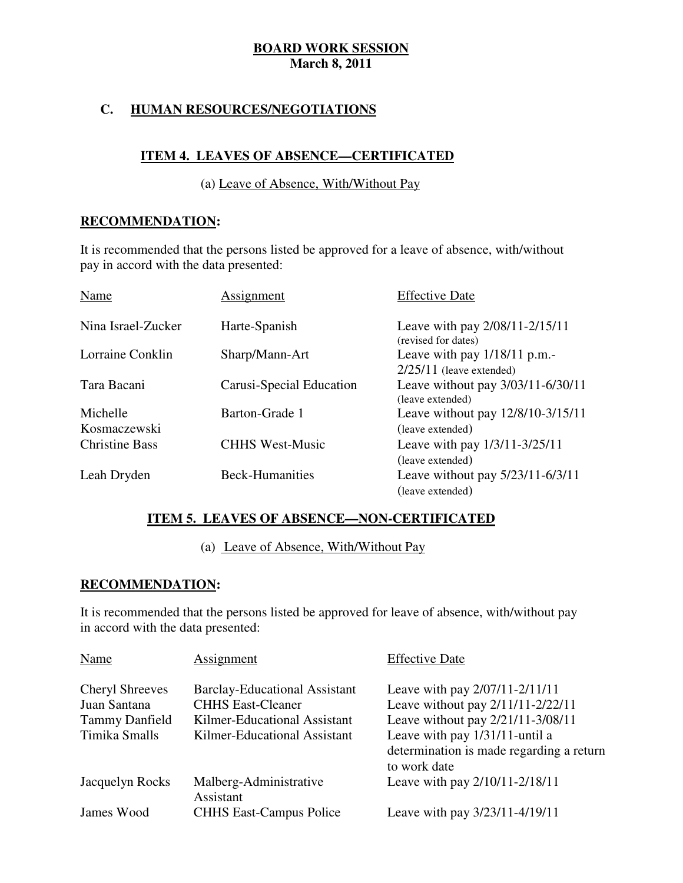# **C. HUMAN RESOURCES/NEGOTIATIONS**

# **ITEM 4. LEAVES OF ABSENCE—CERTIFICATED**

## (a) Leave of Absence, With/Without Pay

## **RECOMMENDATION:**

 It is recommended that the persons listed be approved for a leave of absence, with/without pay in accord with the data presented:

| Name                     | Assignment               | <b>Effective Date</b>                                        |
|--------------------------|--------------------------|--------------------------------------------------------------|
| Nina Israel-Zucker       | Harte-Spanish            | Leave with pay 2/08/11-2/15/11<br>(revised for dates)        |
| Lorraine Conklin         | Sharp/Mann-Art           | Leave with pay $1/18/11$ p.m.-<br>$2/25/11$ (leave extended) |
| Tara Bacani              | Carusi-Special Education | Leave without pay 3/03/11-6/30/11<br>(leave extended)        |
| Michelle<br>Kosmaczewski | Barton-Grade 1           | Leave without pay 12/8/10-3/15/11<br>(leave extended)        |
| <b>Christine Bass</b>    | <b>CHHS West-Music</b>   | Leave with pay 1/3/11-3/25/11<br>(leave extended)            |
| Leah Dryden              | <b>Beck-Humanities</b>   | Leave without pay 5/23/11-6/3/11<br>(leave extended)         |

# **ITEM 5. LEAVES OF ABSENCE—NON-CERTIFICATED**

(a) Leave of Absence, With/Without Pay

#### ٦ **RECOMMENDATION:**

 It is recommended that the persons listed be approved for leave of absence, with/without pay in accord with the data presented:

| Name                                   | Assignment                                                       | <b>Effective Date</b>                                                                      |
|----------------------------------------|------------------------------------------------------------------|--------------------------------------------------------------------------------------------|
| <b>Cheryl Shreeves</b><br>Juan Santana | <b>Barclay-Educational Assistant</b><br><b>CHHS East-Cleaner</b> | Leave with pay 2/07/11-2/11/11<br>Leave without pay 2/11/11-2/22/11                        |
| <b>Tammy Danfield</b>                  | Kilmer-Educational Assistant                                     | Leave without pay 2/21/11-3/08/11                                                          |
| Timika Smalls                          | Kilmer-Educational Assistant                                     | Leave with pay 1/31/11-until a<br>determination is made regarding a return<br>to work date |
| Jacquelyn Rocks                        | Malberg-Administrative<br>Assistant                              | Leave with pay 2/10/11-2/18/11                                                             |
| James Wood                             | <b>CHHS East-Campus Police</b>                                   | Leave with pay 3/23/11-4/19/11                                                             |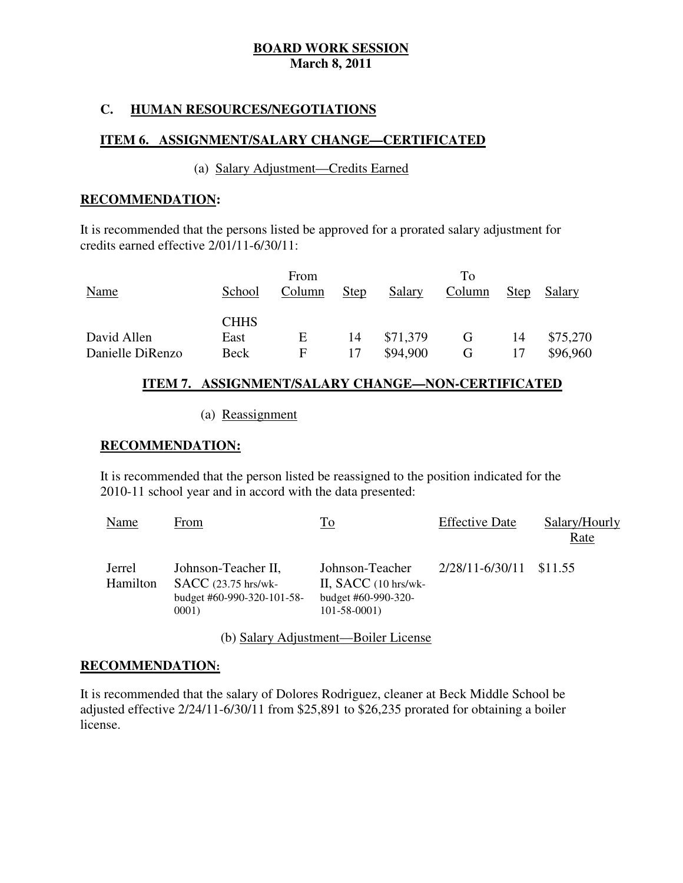## **C. HUMAN RESOURCES/NEGOTIATIONS**

#### **ITEM 6. ASSIGNMENT/SALARY CHANGE—CERTIFICATED**

#### (a) Salary Adjustment—Credits Earned

#### **RECOMMENDATION:**

 It is recommended that the persons listed be approved for a prorated salary adjustment for credits earned effective  $2/01/11-6/30/11$ :

|                  |             | From   |             |               | To     |             |          |
|------------------|-------------|--------|-------------|---------------|--------|-------------|----------|
| Name             | School      | Column | <b>Step</b> | <b>Salary</b> | Column | <b>Step</b> | Salary   |
|                  |             |        |             |               |        |             |          |
|                  | <b>CHHS</b> |        |             |               |        |             |          |
| David Allen      | East        | Ε      | 14          | \$71,379      | G      | 14          | \$75,270 |
| Danielle DiRenzo | Beck        | E      | 17          | \$94,900      | G      |             | \$96,960 |

## **ITEM 7. ASSIGNMENT/SALARY CHANGE—NON-CERTIFICATED**

#### (a) Reassignment

#### **RECOMMENDATION:**

 It is recommended that the person listed be reassigned to the position indicated for the 2010-11 school year and in accord with the data presented:

| <b>Name</b>        | From                                                                                | To                                                                                    | <b>Effective Date</b>   | Salary/Hourly<br>Rate |
|--------------------|-------------------------------------------------------------------------------------|---------------------------------------------------------------------------------------|-------------------------|-----------------------|
| Jerrel<br>Hamilton | Johnson-Teacher II,<br>$SACC$ (23.75 hrs/wk-<br>budget #60-990-320-101-58-<br>0001) | Johnson-Teacher<br>II, $SACC$ (10 hrs/wk-<br>budget #60-990-320-<br>$101 - 58 - 0001$ | 2/28/11-6/30/11 \$11.55 |                       |

(b) Salary Adjustment—Boiler License

#### **RECOMMENDATION:**

 It is recommended that the salary of Dolores Rodriguez, cleaner at Beck Middle School be adjusted effective  $2/24/11 - 6/30/11$  from \$25,891 to \$26,235 prorated for obtaining a boiler license.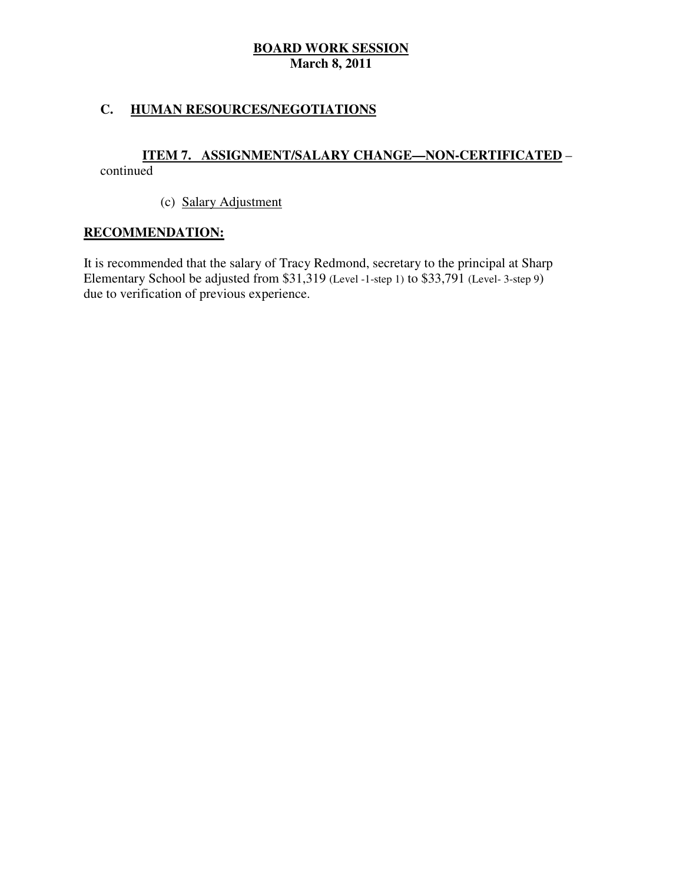# **C. HUMAN RESOURCES/NEGOTIATIONS**

# continued **ITEM 7. ASSIGNMENT/SALARY CHANGE—NON-CERTIFICATED** –

(c) Salary Adjustment

# **RECOMMENDATION:**

 It is recommended that the salary of Tracy Redmond, secretary to the principal at Sharp Elementary School be adjusted from \$31,319 (Level -1-step 1) to \$33,791 (Level-3-step 9) due to verification of previous experience.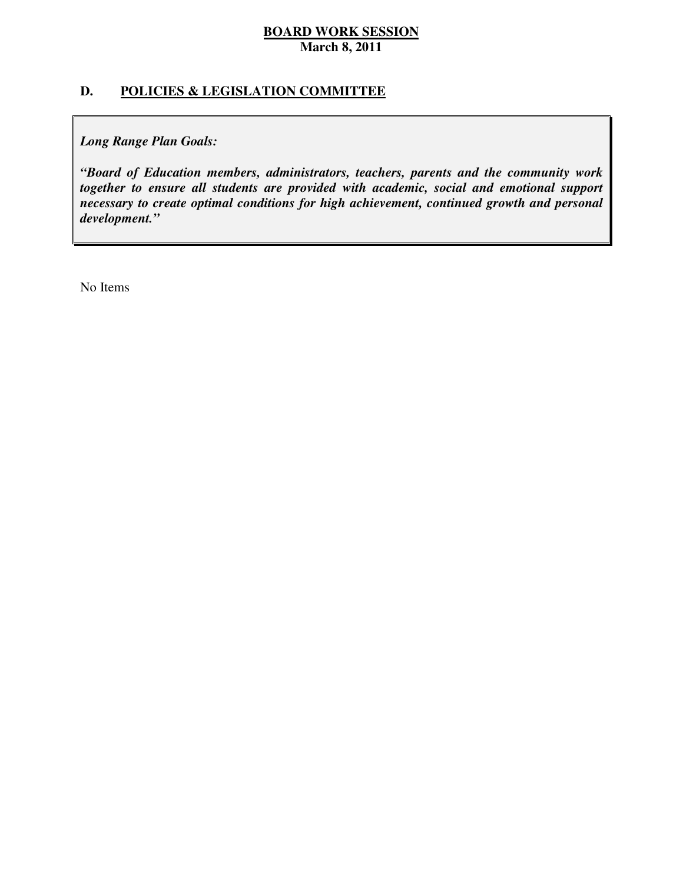# **D. POLICIES & LEGISLATION COMMITTEE**

 *Long Range Plan Goals:* 

 *"Board of Education members, administrators, teachers, parents and the community work together to ensure all students are provided with academic, social and emotional support necessary to create optimal conditions for high achievement, continued growth and personal development."* 

No Items